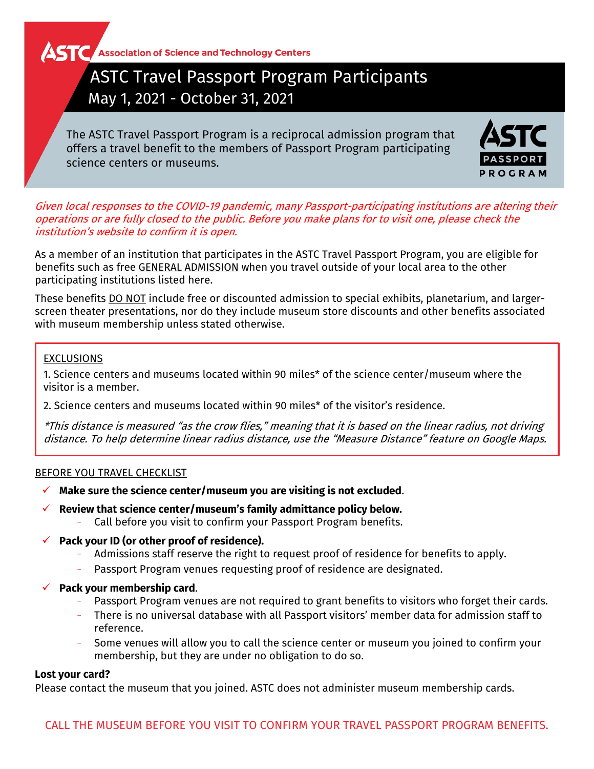**AST C** Association of Science and Technology Centers

# ASTC Travel Passport Program Participants May 1, 2021 - October 31, 2021

The ASTC Travel Passport Program is a reciprocal admission program that offers a travel benefit to the members of Passport Program participating science centers or museums.



Given local responses to the COVID-19 pandemic, many Passport-participating institutions are altering their operations or are fully closed to the public. Before you make plans for to visit one, please check the institution's website to confirm it is open.

As a member of an institution that participates in the ASTC Travel Passport Program, you are eligible for benefits such as free GENERAL ADMISSION when you travel outside of your local area to the other participating institutions listed here.

These benefits DO NOT include free or discounted admission to special exhibits, planetarium, and largerscreen theater presentations, nor do they include museum store discounts and other benefits associated with museum membership unless stated otherwise.

# EXCLUSIONS

1. Science centers and museums located within 90 miles\* of the science center/museum where the visitor is a member.

2. Science centers and museums located within 90 miles\* of the visitor's residence.

\*This distance is measured "as the crow flies," meaning that it is based on the linear radius, not driving distance. To help determine linear radius distance, use the "Measure Distance" feature on Google Maps.

# BEFORE YOU TRAVEL CHECKLIST

- **Make sure the science center/museum you are visiting is not excluded**.
- **Review that science center/museum's family admittance policy below.**
	- − Call before you visit to confirm your Passport Program benefits.
- **Pack your ID (or other proof of residence).**
	- − Admissions staff reserve the right to request proof of residence for benefits to apply.
	- − Passport Program venues requesting proof of residence are designated.
- **Pack your membership card**.
	- Passport Program venues are not required to grant benefits to visitors who forget their cards.
	- − There is no universal database with all Passport visitors' member data for admission staff to reference.
	- Some venues will allow you to call the science center or museum you joined to confirm your membership, but they are under no obligation to do so.

# **Lost your card?**

Please contact the museum that you joined. ASTC does not administer museum membership cards.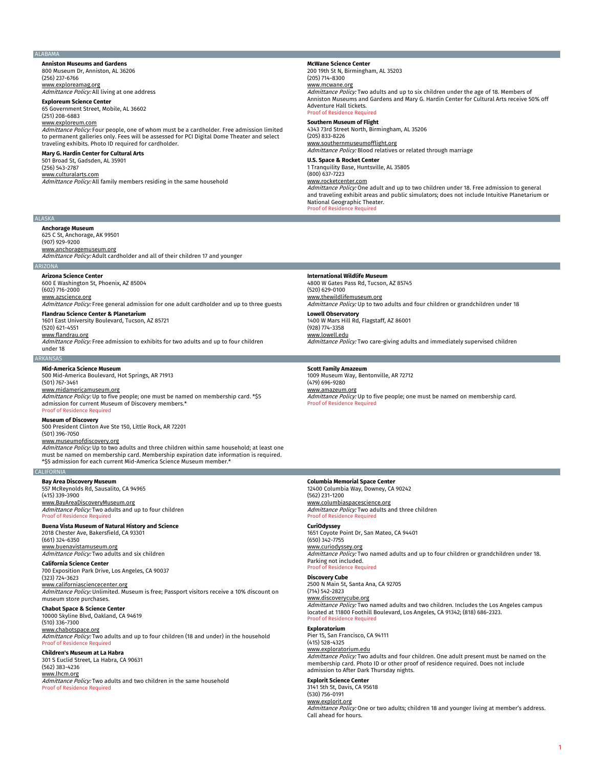#### **ALABAMA**

**Anniston Museums and Gardens** 800 Museum Dr, Anniston, AL 36206 (256) 237-6766

<u>www.exploreamag.org</u><br>*Admittance Policy:* All living at one address

### **Exploreum Science Center** 65 Government Street, Mobile, AL 36602

(251) 208-6883

www.exploreum.com

Admittance Policy: Four people, one of whom must be a cardholder. Free admission limited to permanent galleries only. Fees will be assessed for PCI Digital Dome Theater and select traveling exhibits. Photo ID required for cardholder.

# **Mary G. Hardin Center for Cultural Arts**

501 Broad St, Gadsden, AL 35901 (256) 543-2787 www.culturalarts.com Admittance Policy: All family members residing in the same household

**McWane Science Center** 200 19th St N, Birmingham, AL 35203 (205) 714-8300

#### www.mcwane.org

Admittance Policy: Two adults and up to six children under the age of 18. Members of Anniston Museums and Gardens and Mary G. Hardin Center for Cultural Arts receive 50% off Adventure Hall tickets. of of Res

**Southern Museum of Flight** 4343 73rd Street North, Birmingham, AL 35206 (205) 833-8226 www.southernmuseumofflight.org Admittance Policy: Blood relatives or related through marriage

**U.S. Space & Rocket Center** 1 Tranquility Base, Huntsville, AL 35805

 $(800)$  637-7223

www.rocketcenter.com

Admittance Policy: One adult and up to two children under 18. Free admission to general and traveling exhibit areas and public simulators; does not include Intuitive Planetarium or National Geographic Theater. Proof of Residence Required

# ALASKA

**Anchorage Museum** 625 C St, Anchorage, AK 99501 (907) 929-9200 www.anchoragemuseum.org Admittance Policy: Adult cardholder and all of their children 17 and younger

# ARIZONA

**Arizona Science Center**

600 E Washington St, Phoenix, AZ 85004 (602) 716-2000

www.azscience.org

Admittance Policy: Free general admission for one adult cardholder and up to three guests **Flandrau Science Center & Planetarium**

1601 East University Boulevard, Tucson, AZ 85721

(520) 621-4551

www.flandrau.org

Admittance Policy: Free admission to exhibits for two adults and up to four children under 18

ARKANSAS

500 Mid-America Boulevard, Hot Springs, AR 71913 (501) 767-3461

www.midamericamuseum.org *Admittance Policy:* Up to five people; one must be named on membership card. \*\$5<br>admission for current Museum of Discovery members.\* Proof of Residence Required

# **Museum of Discovery**

500 President Clinton Ave Ste 150, Little Rock, AR 72201 (501) 396-7050

www.museumofdiscovery.org

Admittance Policy: Up to two adults and three children within same household; at least one must be named on membership card. Membership expiration date information is required. \*\$5 admission for each current Mid-America Science Museum member.\*

## CALIFORNIA

**Bay Area Discovery Museum** 557 McReynolds Rd, Sausalito, CA 94965 (415) 339-3900

www.BayAreaDiscoveryMuseum.org Admittance Policy: Two adults and up to four children Proof of Residence Required

# **Buena Vista Museum of Natural History and Science** 2018 Chester Ave, Bakersfield, CA 93301

(661) 324-6350 www.buenavistamuseum.org Admittance Policy: Two adults and six children

**California Science Center**

700 Exposition Park Drive, Los Angeles, CA 90037 (323) 724-3623

www.californiasciencecenter.org Admittance Policy: Unlimited. Museum is free; Passport visitors receive a 10% discount on museum store purchases.

**Chabot Space & Science Center** 10000 Skyline Blvd, Oakland, CA 94619 (510) 336-7300

www.chabotspace.org

Admittance Policy: Two adults and up to four children (18 and under) in the household Proof of Residence Required

# **Children's Museum at La Habra** 301 S Euclid Street, La Habra, CA 90631 (562) 383-4236

www.lhcm.org Admittance Policy: Two adults and two children in the same household Proof of Residence Required

#### **International Wildlife Museum**

4800 W Gates Pass Rd, Tucson, AZ 85745 (520) 629-0100 www.thewildlifemuseum.org

Admittance Policy: Up to two adults and four children or grandchildren under 18

**Lowell Observatory** 1400 W Mars Hill Rd, Flagstaff, AZ 86001 (928) 774-3358

www.lowell.edu Admittance Policy: Two care-giving adults and immediately supervised children

**Scott Family Amazeum**

1009 Museum Way, Bentonville, AR 72712 (479) 696-9280 www.amazeum.org

Admittance Policy: Up to five people; one must be named on membership card. Proof of Residence Required

# **Columbia Memorial Space Center**

12400 Columbia Way, Downey, CA 90242 (562) 231-1200 www.columbiaspacescience.org Admittance Policy: Two adults and three children

# Proof of Residence Required

**CuriOdyssey** 1651 Coyote Point Dr, San Mateo, CA 94401 (650) 342-7755 www.curiodyssey.org

Admittance Policy: Two named adults and up to four children or grandchildren under 18.

Parking not included. Proof of Reside

# **Discovery Cube**

2500 N Main St, Santa Ana, CA 92705 (714) 542-2823 <u>www.discoverycube.org</u><br>*Admittance Policy:* Two named adults and two children. Includes the Los Angeles campus located at 11800 Foothill Boulevard, Los Angeles, CA 91342; (818) 686-2323. Proof of Residence Required

#### **Exploratorium**

Pier 15, San Francisco, CA 94111 (415) 528-4325 www.exploratorium.edu Admittance Policy: Two adults and four children. One adult present must be named on the membership card. Photo ID or other proof of residence required. Does not include admission to After Dark Thursday nights.

**Explorit Science Center**

3141 5th St, Davis, CA 95618 (530) 756-0191 www.explorit.org Admittance Policy: One or two adults; children 18 and younger living at member's address. Call ahead for hours.

**Mid-America Science Museum**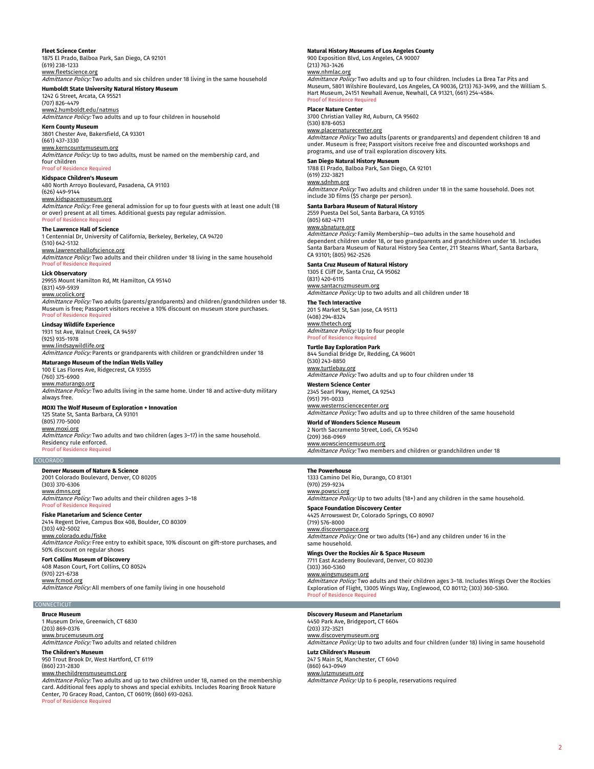## **Fleet Science Center**

1875 El Prado, Balboa Park, San Diego, CA 92101 (619) 238-1233 www.fleetscience.org

# Admittance Policy: Two adults and six children under 18 living in the same household

**Humboldt State University Natural History Museum** 1242 G Street, Arcata, CA 95521 (707) 826-4479

www2.humboldt.edu/natmus Admittance Policy: Two adults and up to four children in household

**Kern County Museum** 3801 Chester Ave, Bakersfield, CA 93301 (661) 437-3330

www.kerncountymuseum.org Admittance Policy: Up to two adults, must be named on the membership card, and four children Proof of Residen

**Kidspace Children's Museum** 480 North Arroyo Boulevard, Pasadena, CA 91103 (626) 449-9144

www.kidspacemuseum.org Admittance Policy: Free general admission for up to four guests with at least one adult (18 or over) present at all times. Additional guests pay regular admission.

## Proof of Residence Required **The Lawrence Hall of Science**

1 Centennial Dr, University of California, Berkeley, Berkeley, CA 94720 (510) 642-5132

<u>www.lawrencehallofscience.org</u><br>*Admittance Policy:* Two adults and their children under 18 living in the same household Proof of Residence Required

**Lick Observatory** 29955 Mount Hamilton Rd, Mt Hamilton, CA 95140 (831) 459-5939

www.ucolick.org Admittance Policy: Two adults (parents/grandparents) and children/grandchildren under 18. Museum is free; Passport visitors receive a 10% discount on museum store purchases. Proof of Residence Required

**Lindsay Wildlife Experience** 1931 1st Ave, Walnut Creek, CA 94597

(925) 935-1978 www.lindsaywildlife.org Admittance Policy: Parents or grandparents with children or grandchildren under 18

# **Maturango Museum of the Indian Wells Valley**

100 E Las Flores Ave, Ridgecrest, CA 93555 (760) 375-6900

www.maturango.org Admittance Policy: Two adults living in the same home. Under 18 and active-duty military always free.

# **MOXI The Wolf Museum of Exploration + Innovation**

125 State St, Santa Barbara, CA 93101 (805) 770-5000 www.moxi.org Admittance Policy: Two adults and two children (ages 3-17) in the same household. Residency rule enforced. Proof of Residence Required

# COLORADO

**Denver Museum of Nature & Science** 2001 Colorado Boulevard, Denver, CO 80205 (303) 370-6306 www.dmns.org

*Admittance Policy:* Two adults and their children ages 3–18<br>Proof of Residence Required **Fiske Planetarium and Science Center**

2414 Regent Drive, Campus Box 408, Boulder, CO 80309 (303) 492-5002

www.colorado.edu/fiske Admittance Policy: Free entry to exhibit space, 10% discount on gift-store purchases, and 50% discount on regular shows

**Fort Collins Museum of Discovery** 408 Mason Court, Fort Collins, CO 80524 (970) 221-6738 <u>www.fcmod.org</u><br>*Admittance Policy:* All members of one family living in one household

# **CONNECTICUT**

**Bruce Museum**

1 Museum Drive, Greenwich, CT 6830 (203) 869-0376 www.brucemuseum.org

# Admittance Policy: Two adults and related children

**The Children's Museum** 950 Trout Brook Dr, West Hartford, CT 6119 (860) 231-2830

# www.thechildrensmuseumct.org

Admittance Policy: Two adults and up to two children under 18, named on the membership card. Additional fees apply to shows and special exhibits. Includes Roaring Brook Nature Center, 70 Gracey Road, Canton, CT 06019; (860) 693-0263. Proof of Residence Required

# **Natural History Museums of Los Angeles County**

900 Exposition Blvd, Los Angeles, CA 90007 (213) 763-3426

# www.nhmlac.org

Admittance Policy: Two adults and up to four children. Includes La Brea Tar Pits and Museum, 5801 Wilshire Boulevard, Los Angeles, CA 90036, (213) 763-3499, and the William S. Hart Museum, 24151 Newhall Avenue, Newhall, CA 91321, (661) 254-4584. Proof of Residence Required

#### **Placer Nature Center**

3700 Christian Valley Rd, Auburn, CA 95602 (530) 878-6053

#### www.placernaturecenter.org

Admittance Policy: Two adults (parents or grandparents) and dependent children 18 and under. Museum is free; Passport visitors receive free and discounted workshops and programs, and use of trail exploration discovery kits.

# **San Diego Natural History Museum**

1788 El Prado, Balboa Park, San Diego, CA 92101

#### (619) 232-3821 www.sdnhm.org

Admittance Policy: Two adults and children under 18 in the same household. Does not include 3D films (\$5 charge per person).

# **Santa Barbara Museum of Natural History**

2559 Puesta Del Sol, Santa Barbara, CA 93105

# (805) 682-4711

<u>www.sbnature.org</u><br>*Admittance Policy:* Family Membership—two adults in the same household and dependent children under 18, or two grandparents and grandchildren under 18. Includes Santa Barbara Museum of Natural History Sea Center, 211 Stearns Wharf, Santa Barbara, CA 93101; (805) 962-2526

# **Santa Cruz Museum of Natural History**

1305 E Cliff Dr, Santa Cruz, CA 95062 (831) 420-6115

<u>www.santacruzmuseum.org</u><br>*Admittance Policy:* Up to two adults and all children under 18

**The Tech Interactive** 201 S Market St, San Jose, CA 95113 (408) 294-8324 www.thetech.org

**Admittance Policy: Up to four people Proof of Pesidence** 

# **Turtle Bay Exploration Park** 844 Sundial Bridge Dr, Redding, CA 96001

(530) 243-8850 www.turtlebay.org Admittance Policy: Two adults and up to four children under 18

**Western Science Center** 2345 Searl Pkwy, Hemet, CA 92543

(951) 791-0033 www.westernsciencecenter.org Admittance Policy: Two adults and up to three children of the same household

### **World of Wonders Science Museum** 2 North Sacramento Street, Lodi, CA 95240

(209) 368-0969 www.wowsciencemuseum.org Admittance Policy: Two members and children or grandchildren under 18

#### **The Powerhouse**

1333 Camino Del Rio, Durango, CO 81301 (970) 259-9234 www.powsci.org

Admittance Policy: Up to two adults (18+) and any children in the same household. **Space Foundation Discovery Center**

4425 Arrowswest Dr, Colorado Springs, CO 80907 (719) 576-8000

# www.discoverspace.org

Admittance Policy: One or two adults (16+) and any children under 16 in the same household

**Wings Over the Rockies Air & Space Museum** 7711 East Academy Boulevard, Denver, CO 80230 (303) 360-5360

www.wingsmuseum.org Admittance Policy: Two adults and their children ages 3-18. Includes Wings Over the Rockies Exploration of Flight, 13005 Wings Way, Englewood, CO 80112; (303) 360-5360. Proof of Residence Required

# **Discovery Museum and Planetarium**<br>4450 Park Ave, Bridgeport, CT 6604

(203) 372-3521

www.discoverymuseum.org

Admittance Policy: Up to two adults and four children (under 18) living in same household **Lutz Children's Museum**

### 247 S Main St, Manchester, CT 6040 (860) 643-0949

www.lutzmuseum.org

Admittance Policy: Up to 6 people, reservations required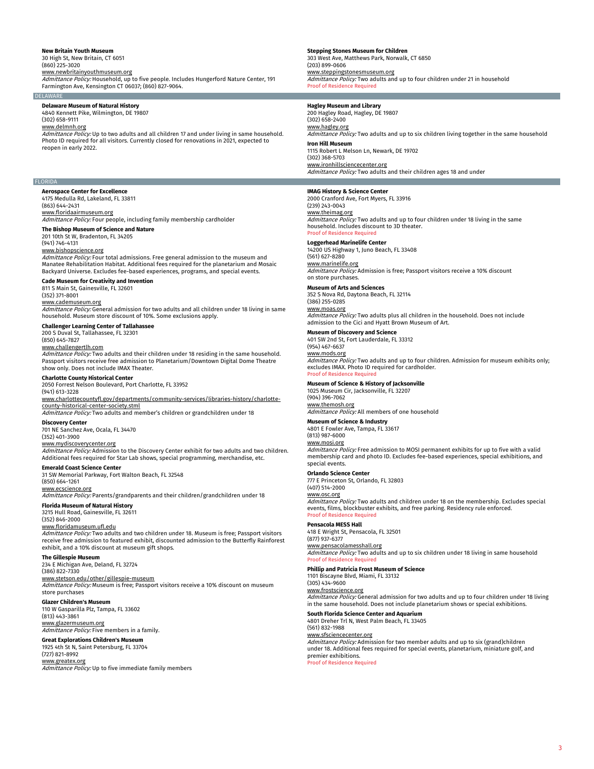# **New Britain Youth Museum**

30 High St, New Britain, CT 6051

(860) 225-3020 www.newbritainyouthmuseum.org

Admittance Policy: Household, up to five people. Includes Hungerford Nature Center, 191 Farmington Ave, Kensington CT 06037; (860) 827-9064. **DELAWARE** 

# **Delaware Museum of Natural History**

4840 Kennett Pike, Wilmington, DE 19807 (302) 658-9111

www.delmnh.org

Admittance Policy: Up to two adults and all children 17 and under living in same household. Photo ID required for all visitors. Currently closed for renovations in 2021, expected to reopen in early 2022.

# FLORIDA

**Aerospace Center for Excellence** 4175 Medulla Rd, Lakeland, FL 33811 (863) 644-2431

# www.floridaairmuseum.org

Admittance Policy: Four people, including family membership cardholder **The Bishop Museum of Science and Nature**

# 201 10th St W, Bradenton, FL 34205

(941) 746-4131

www.bishopscience.org Admittance Policy: Four total admissions. Free general admission to the museum and Manatee Rehabilitation Habitat. Additional fees required for the planetarium and Mosaic Backyard Universe. Excludes fee-based experiences, programs, and special events.

# **Cade Museum for Creativity and Invention**

811 S Main St, Gainesville, FL 32601 (352) 371-8001 www.cademuseum.org

*Admittance Policy:* General admission for two adults and all children under 18 living in same<br>household. Museum store discount of 10%. Some exclusions apply.

## **Challenger Learning Center of Tallahassee** 200 S Duval St, Tallahassee, FL 32301

(850) 645-7827

<u>www.challengertlh.com</u><br>*Admittance Policy:* Two adults and their children under 18 residing in the same household. Passport visitors receive free admission to Planetarium/Downtown Digital Dome Theatre show only. Does not include IMAX Theater.

# **Charlotte County Historical Center**

2050 Forrest Nelson Boulevard, Port Charlotte, FL 33952 (941) 613-3228

www.charlottecountyfl.gov/departments/community-services/libraries-history/charlottecounty-historical-center-society.stml

# Admittance Policy: Two adults and member's children or grandchildren under 18

**Discovery Center** 701 NE Sanchez Ave, Ocala, FL 34470

# (352) 401-3900

www.mydiscoverycenter.org

Admittance Policy: Admission to the Discovery Center exhibit for two adults and two children. Additional fees required for Star Lab shows, special programming, merchandise, etc.

# **Emerald Coast Science Center**

31 SW Memorial Parkway, Fort Walton Beach, FL 32548 (850) 664-1261

www.ecscience.org

Admittance Policy: Parents/grandparents and their children/grandchildren under 18 **Florida Museum of Natural History**

# 3215 Hull Road, Gainesville, FL 32611

(352) 846-2000

# www.floridamuseum.ufl.edu

Admittance Policy: Two adults and two children under 18. Museum is free; Passport visitors receive free admission to featured exhibit, discounted admission to the Butterfly Rainforest exhibit, and a 10% discount at museum gift shops.

# **The Gillespie Museum**

234 E Michigan Ave, Deland, FL 32724 (386) 822-7330

# www.stetson.edu/other/gillespie-museum

Admittance Policy: Museum is free; Passport visitors receive a 10% discount on museum store purchases

# **Glazer Children's Museum**

110 W Gasparilla Plz, Tampa, FL 33602 (813) 443-3861 www.glazermuseum.org

Admittance Policy: Five members in a family.

**Great Explorations Children's Museum** 1925 4th St N, Saint Petersburg, FL 33704 (727) 821-8992

# www.greatex.org

Admittance Policy: Up to five immediate family members

# **Stepping Stones Museum for Children**

303 West Ave, Matthews Park, Norwalk, CT 6850 (203) 899-0606 www.steppingstonesmuseum.org

Admittance Policy: Two adults and up to four children under 21 in household Proof of Residence Required

# **Hagley Museum and Library**

200 Hagley Road, Hagley, DE 19807 (302) 658-2400 www.hagley.org Admittance Policy: Two adults and up to six children living together in the same household **Iron Hill Museum** 1115 Robert L Melson Ln, Newark, DE 19702 (302) 368-5703 www.ironhillsciencecenter.org

Admittance Policy: Two adults and their children ages 18 and under

# **IMAG History & Science Center**

2000 Cranford Ave, Fort Myers, FL 33916 (239) 243-0043

# www.theimag.org

Admittance Policy: Two adults and up to four children under 18 living in the same household. Includes discount to 3D theater. Proof of Residence Required

# **Loggerhead Marinelife Center**

14200 US Highway 1, Juno Beach, FL 33408 (561) 627-8280

# www.marinelife.org

*Admittance Policy:* Admission is free; Passport visitors receive a 10% discount<br>on store purchases.

# **Museum of Arts and Sciences**

352 S Nova Rd, Daytona Beach, FL 32114 (386) 255-0285

# www.moas.org

Admittance Policy: Two adults plus all children in the household. Does not include admission to the Cici and Hyatt Brown Museum of Art.

# **Museum of Discovery and Science**

401 SW 2nd St, Fort Lauderdale, FL 33312 (954) 467-6637

# www.mods.org

Admittance Policy: Two adults and up to four children. Admission for museum exhibits only; excludes IMAX. Photo ID required for cardholder. Proof of Residence Required

# **Museum of Science & History of Jacksonville**

1025 Museum Cir, Jacksonville, FL 32207 (904) 396-7062

# www.themosh.org

Admittance Policy: All members of one household

# **Museum of Science & Industry**

4801 E Fowler Ave, Tampa, FL 33617 (813) 987-6000

# www.mosi.org

Admittance Policy: Free admission to MOSI permanent exhibits for up to five with a valid membership card and photo ID. Excludes fee-based experiences, special exhibitions, and special events.

## **Orlando Science Center**

777 E Princeton St, Orlando, FL 32803

- (407) 514-2000
- www.osc.org

Admittance Policy: Two adults and children under 18 on the membership. Excludes special events, films, blockbuster exhibits, and free parking. Residency rule enforced. Proof of Residence Required

# **Pensacola MESS Hall**

418 E Wright St, Pensacola, FL 32501 (877) 937-6377

# www.pensacolamesshall.org

Admittance Policy: Two adults and up to six children under 18 living in same household Proof of Re

# **Phillip and Patricia Frost Museum of Science**

1101 Biscayne Blvd, Miami, FL 33132

# (305) 434-9600

www.frostscience.org

Admittance Policy: General admission for two adults and up to four children under 18 living in the same household. Does not include planetarium shows or special exhibitions.

# **South Florida Science Center and Aquarium**

4801 Dreher Trl N, West Palm Beach, FL 33405

(561) 832-1988 www.sfsciencecenter.org

Admittance Policy: Admission for two member adults and up to six (grand)children under 18. Additional fees required for special events, planetarium, miniature golf, and premier exhibitions.

roof of Residence Requ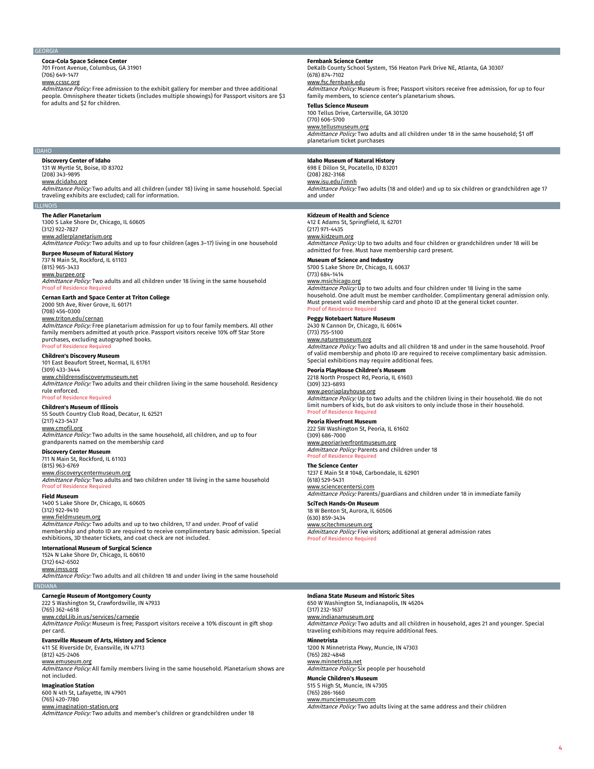#### GEORGIA

#### **Coca-Cola Space Science Center** 701 Front Avenue, Columbus, GA 31901

(706) 649-1477

www.ccssc.org

Admittance Policy: Free admission to the exhibit gallery for member and three additional people. Omnisphere theater tickets (includes multiple showings) for Passport visitors are \$3 for adults and \$2 for children.

### **Fernbank Science Center** DeKalb County School System, 156 Heaton Park Drive NE, Atlanta, GA 30307

(678) 874-7102 www.fsc.fernbank.edu Admittance Policy: Museum is free; Passport visitors receive free admission, for up to four family members, to science center's planetarium shows. **Tellus Science Museum** 100 Tellus Drive, Cartersville, GA 30120 (770) 606-5700 www.tellusmuseum.org Admittance Policy: Two adults and all children under 18 in the same household; \$1 off planetarium ticket purchases

#### **Idaho Museum of Natural History** 698 E Dillon St, Pocatello, ID 83201

(208) 282-3168 www.isu.edu/imnh

Admittance Policy: Two adults (18 and older) and up to six children or grandchildren age 17 and under

# **Kidzeum of Health and Science**

412 E Adams St, Springfield, IL 62701

#### (217) 971-4435 www.kidzeum.org

Admittance Policy: Up to two adults and four children or grandchildren under 18 will be admitted for free. Must have membership card present.

**Museum of Science and Industry**

5700 S Lake Shore Dr, Chicago, IL 60637

## (773) 684-1414 www.msichicago

*Admittance Policy:* Up to two adults and four children under 18 living in the same<br>household. One adult must be member cardholder. Complimentary general admission only. Must present valid membership card and photo ID at the general ticket counter. Proof of Residence Required

# **Peggy Notebaert Nature Museum**

2430 N Cannon Dr, Chicago, IL 60614 (773) 755-5100 www.naturemuseum.org Admittance Policy: Two adults and all children 18 and under in the same household. Proof of valid membership and photo ID are required to receive complimentary basic admission.

**Peoria PlayHouse Children's Museum**

Special exhibitions may require additional fees.

2218 North Prospect Rd, Peoria, IL 61603 (309) 323-6893

www.peoriaplayhouse.org *Admittance Policy:* Up to two adults and the children living in their household. We do not<br>limit numbers of kids, but do ask visitors to only include those in their household. Proof of Residence Required

# **Peoria Riverfront Museum**

222 SW Washington St, Peoria, IL 61602 (309) 686-7000 <u>www.peoriariverfrontmuseum.org</u><br>*Admittance Policy:* Parents and children under 18

**Proof of Residence Require** 

**The Science Center** 1237 E Main St # 1048, Carbondale, IL 62901

(618) 529-5431 www.sciencecentersi.com

Admittance Policy: Parents/guardians and children under 18 in immediate family

**SciTech Hands-On Museum** 18 W Benton St, Aurora, IL 60506 (630) 859-3434 <u>www.scitechmuseum.org</u><br>*Admittance Policy:* Five visitors; additional at general admission rates Proof of Residence Required

# **International Museum of Surgical Science**

1524 N Lake Shore Dr, Chicago, IL 60610

www.imss.org

Admittance Policy: Two adults and all children 18 and under living in the same household **INDIANA** 

## **Carnegie Museum of Montgomery County**

222 S Washington St, Crawfordsville, IN 47933

(765) 362-4618 www.cdpl.lib.in.us/services/carnegie

Admittance Policy: Museum is free; Passport visitors receive a 10% discount in gift shop per card.

#### **Evansville Museum of Arts, History and Science** 411 SE Riverside Dr, Evansville, IN 47713 (812) 425-2406

www.emuseum.org

Admittance Policy: All family members living in the same household. Planetarium shows are not included.

# **Imagination Station**

600 N 4th St, Lafayette, IN 47901 (765) 420-7780 www.imagination-station.org

Admittance Policy: Two adults and member's children or grandchildren under 18

#### **Indiana State Museum and Historic Sites**

650 W Washington St, Indianapolis, IN 46204 www.indianamuseum.org *Admittance Policy:* Two adults and all children in household, ages 21 and younger. Special<br>traveling exhibitions may require additional fees. **Minnetrista**

www.munciemuseum.com Admittance Policy: Two adults living at the same address and their children

# 131 W Myrtle St, Boise, ID 83702 (208) 343-9895 www.dcidaho.org

Admittance Policy: Two adults and all children (under 18) living in same household. Special traveling exhibits are excluded; call for information.

## ILLINOIS

IDAHO

**The Adler Planetarium** 1300 S Lake Shore Dr, Chicago, IL 60605

**Discovery Center of Idaho**

(312) 922-7827

www.adlerplanetarium.org

# Admittance Policy: Two adults and up to four children (ages 3–17) living in one household

**Burpee Museum of Natural History** 737 N Main St, Rockford, IL 61103

# (815) 965-3433

www.burpee.org Admittance Policy: Two adults and all children under 18 living in the same household Proof of Residence Required

# **Cernan Earth and Space Center at Triton College**

2000 5th Ave, River Grove, IL 60171 (708) 456-0300 www.triton.edu/cernan

Admittance Policy: Free planetarium admission for up to four family members. All other family members admitted at youth price. Passport visitors receive 10% off Star Store purchases, excluding autographed books. Proof of Residence Required

# **Children's Discovery Museum**

101 East Beaufort Street, Normal, IL 61761 (309) 433-3444

www.childrensdiscoverymuseum.net Admittance Policy: Two adults and their children living in the same household. Residency rule enforced.

# Proof of Residence Required

**Children's Museum of Illinois** 55 South Country Club Road, Decatur, IL 62521 (217) 423-5437 www.cmofil.org Admittance Policy: Two adults in the same household, all children, and up to four

# grandparents named on the membership card

# **Discovery Center Museum**<br>711 N Main St, Rockford, IL 61103

(815) 963-6769 <u>www.discoverycentermuseum.org</u><br>*Admittance Policy:* Two adults and two children under 18 living in the same household Proof of Residence Requ

# **Field Museum**

1400 S Lake Shore Dr, Chicago, IL 60605 (312) 922-9410

# www.fieldmuseum.org

*Admittance Policy:* Two adults and up to two children, 17 and under. Proof of valid<br>membership and photo ID are required to receive complimentary basic admission. Special exhibitions, 3D theater tickets, and coat check are not included.

(312) 642-6502

(317) 232-1637

1200 N Minnetrista Pkwy, Muncie, IN 47303 (765) 282-4848

www.minnetrista.net Admittance Policy: Six people per household

**Muncie Children's Museum**<br>515 S High St, Muncie, IN 47305

# (765) 286-1660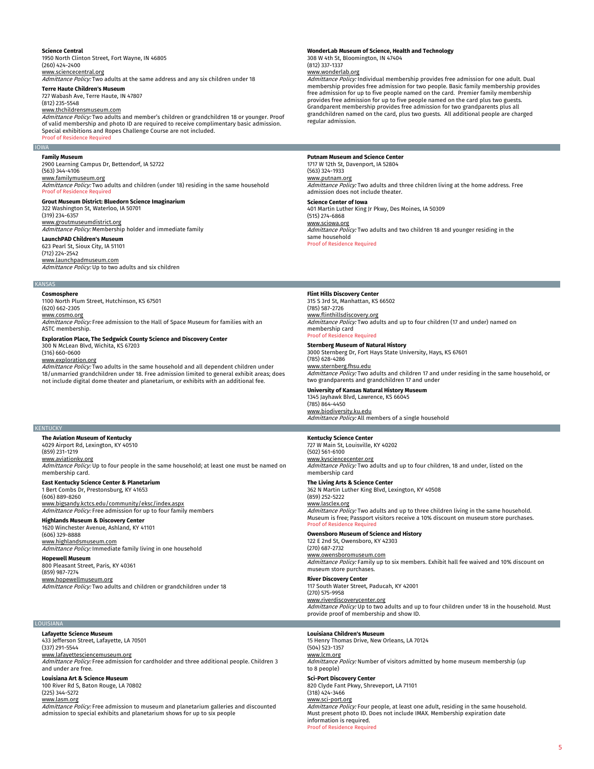# **Science Central**

1950 North Clinton Street, Fort Wayne, IN 46805 (260) 424-2400 www.sciencecentral.org

Admittance Policy: Two adults at the same address and any six children under 18 **Terre Haute Children's Museum**

727 Wabash Ave, Terre Haute, IN 47807 (812) 235-5548

www.thchildrensmuseum.com

Admittance Policy: Two adults and member's children or grandchildren 18 or younger. Proof of valid membership and photo ID are required to receive complimentary basic admission. Special exhibitions and Ropes Challenge Course are not included. Proof of Residence Required

# IOWA

**Family Museum** 2900 Learning Campus Dr, Bettendorf, IA 52722 (563) 344-4106

<u>www.familymuseum.org</u><br>*Admittance Policy:* Two adults and children (under 18) residing in the same household Proof of Residence Required

**Grout Museum District: Bluedorn Science Imaginarium** 322 Washington St, Waterloo, IA 50701 (319) 234-6357 www.groutmuseumdistrict.org Admittance Policy: Membership holder and immediate family

**LaunchPAD Children's Museum** 623 Pearl St, Sioux City, IA 51101

(712) 224-2542 <u>www.launchpadmuseum.com</u><br>*Admittance Policy:* Up to two adults and six children

#### KANSAS

**Cosmosphere**

1100 North Plum Street, Hutchinson, KS 67501 (620) 662-2305 www.cosmo.org Admittance Policy: Free admission to the Hall of Space Museum for families with an ASTC membership.

**Exploration Place, The Sedgwick County Science and Discovery Center**

300 N McLean Blvd, Wichita, KS 67203 (316) 660-0600

www.exploration.org

Admittance Policy: Two adults in the same household and all dependent children under 18/unmarried grandchildren under 18. Free admission limited to general exhibit areas; does not include digital dome theater and planetarium, or exhibits with an additional fee.

### KENTUCKY

**The Aviation Museum of Kentucky** 4029 Airport Rd, Lexington, KY 40510 (859) 231-1219 www.aviationky.org Admittance Policy: Up to four people in the same household; at least one must be named on membership card.

**East Kentucky Science Center & Planetarium** 1 Bert Combs Dr, Prestonsburg, KY 41653

(606) 889-8260

<u>www.bigsandy.kctcs.edu/community/eksc/index.aspx</u><br>*Admittance Policy:* Free admission for up to four family members **Highlands Museum & Discovery Center**

# 1620 Winchester Avenue, Ashland, KY 41101

(606) 329-8888 <u>www.highlandsmuseum.com</u><br>*Admittance Policy:* Immediate family living in one household

**Hopewell Museum** 800 Pleasant Street, Paris, KY 40361 (859) 987-7274

www.hopewellmuseum.org Admittance Policy: Two adults and children or grandchildren under 18

#### LOUISIANA

**Lafayette Science Museum** 433 Jefferson Street, Lafayette, LA 70501 (337) 291-5544 www.lafayettesciencemuseum.org Admittance Policy: Free admission for cardholder and three additional people. Children 3 and under are free.

**Louisiana Art & Science Museum**

100 River Rd S, Baton Rouge, LA 70802 (225) 344-5272

www.lasm.org

Admittance Policy: Free admission to museum and planetarium galleries and discounted admission to special exhibits and planetarium shows for up to six people

# **WonderLab Museum of Science, Health and Technology**

308 W 4th St, Bloomington, IN 47404 (812) 337-1337

www.wonderlab.org

Admittance Policy: Individual membership provides free admission for one adult. Dual membership provides free admission for two people. Basic family membership provides free admission for up to five people named on the card. Premier family membership provides free admission for up to five people named on the card plus two guests. Grandparent membership provides free admission for two grandparents plus all grandchildren named on the card, plus two guests. All additional people are charged regular admission.

**Putnam Museum and Science Center** 1717 W 12th St, Davenport, IA 52804 (563) 324-1933 <u>www.putnam.org</u><br>*Admittance Policy:* Two adults and three children living at the home address. Free admission does not include theater. **Science Center of Iowa** 401 Martin Luther King Jr Pkwy, Des Moines, IA 50309 (515) 274-6868 www.sciowa.org Admittance Policy: Two adults and two children 18 and younger residing in the same household Proof of Residence Required

**Flint Hills Discovery Center**

315 S 3rd St, Manhattan, KS 66502 (785) 587-2726 www.flinthillsdiscovery.org Admittance Policy: Two adults and up to four children (17 and under) named on membership card

Proof of Residence Required **Sternberg Museum of Natural History**

3000 Sternberg Dr, Fort Hays State University, Hays, KS 67601 (785) 628-4286 www.sternberg.fhsu.edu Admittance Policy: Two adults and children 17 and under residing in the same household, or

two grandparents and grandchildren 17 and under **University of Kansas Natural History Museum**

1345 Jayhawk Blvd, Lawrence, KS 66045 (785) 864-4450 <u>www.biodiversity.ku.edu</u><br>*Admittance Policy:* All members of a single household

# **Kentucky Science Center**

727 W Main St, Louisville, KY 40202 (502) 561-6100 www.kysciencecenter.org Admittance Policy: Two adults and up to four children, 18 and under, listed on the membership card

**The Living Arts & Science Center** 362 N Martin Luther King Blvd, Lexington, KY 40508

(859) 252-5222 www.lasclex.org **Manute 2020**<br>Admittance Policy: Two adults and up to three children living in the same household. Museum is free; Passport visitors receive a 10% discount on museum store purchases. **Proof of Residence Req** 

**Owensboro Museum of Science and History** 122 E 2nd St, Owensboro, KY 42303 (270) 687-2732 www.owensboromuseum.com Admittance Policy: Family up to six members. Exhibit hall fee waived and 10% discount on museum store purchases.

**River Discovery Center** 117 South Water Street, Paducah, KY 42001 (270) 575-9958 www.riverdiscoverycenter.org Admittance Policy: Up to two adults and up to four children under 18 in the household. Must provide proof of membership and show ID.

# **Louisiana Children's Museum**

15 Henry Thomas Drive, New Orleans, LA 70124 (504) 523-1357 www.lcm.org Admittance Policy: Number of visitors admitted by home museum membership (up to 8 people) **Sci-Port Discovery Center** 820 Clyde Fant Pkwy, Shreveport, LA 71101  $(318)$   $424 - 3466$ www.sci-port.org Admittance Policy: Four people, at least one adult, residing in the same household. Must present photo ID. Does not include IMAX. Membership expiration date

information is required. Proof of Residence Required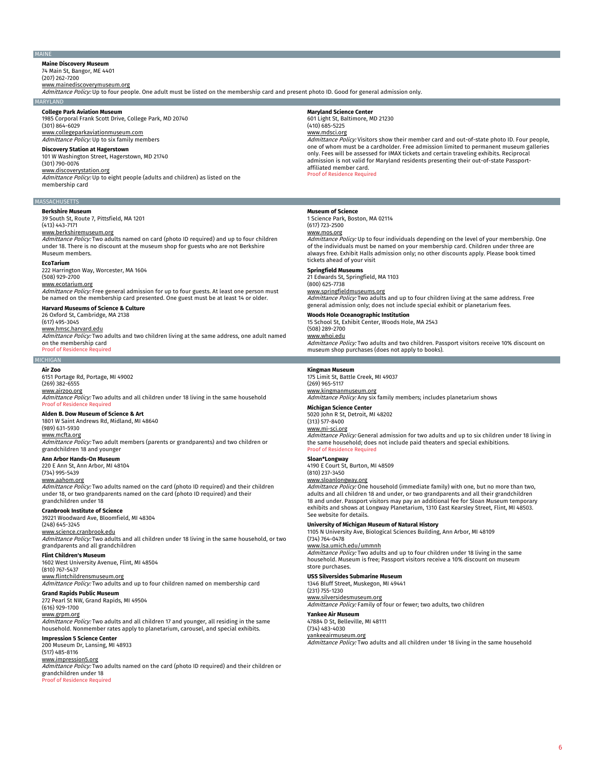### MAINE

**Maine Discovery Museum** 74 Main St, Bangor, ME 4401

# (207) 262-7200

<u>www.mainediscoverymuseum.org</u><br>*Admittance Policy:* Up to four people. One adult must be listed on the membership card and present photo ID. Good for general admission only.

#### MARYLAND

**College Park Aviation Museum** 1985 Corporal Frank Scott Drive, College Park, MD 20740 (301) 864-6029 www.collegeparkaviationmuseum.com

# Admittance Policy: Up to six family members

**Discovery Station at Hagerstown** 101 W Washington Street, Hagerstown, MD 21740

# (301) 790-0076

www.discoverystation.org

Admittance Policy: Up to eight people (adults and children) as listed on the membership card

# **MASSACHUSETTS**

**Berkshire Museum** 39 South St, Route 7, Pittsfield, MA 1201

## (413) 443-7171

# www.berkshiremuseum.org

Admittance Policy: Two adults named on card (photo ID required) and up to four children under 18. There is no discount at the museum shop for guests who are not Berkshire Museum members.

#### **EcoTarium**

222 Harrington Way, Worcester, MA 1604 (508) 929-2700 www.ecotarium.org

# *Admittance Policy:* Free general admission for up to four guests. At least one person must<br>be named on the membership card presented. One guest must be at least 14 or older.

**Harvard Museums of Science & Culture**

### 26 Oxford St, Cambridge, MA 2138 (617) 495-3045

www.hmsc.harvard.edu

# Admittance Policy: Two adults and two children living at the same address, one adult named on the membership card

Proof of Residence Required

# MICHIGAN **Air Zoo**

6151 Portage Rd, Portage, MI 49002 (269) 382-6555 www.airzoo.org Admittance Policy: Two adults and all children under 18 living in the same household

#### Proof of Residence Required

**Alden B. Dow Museum of Science & Art** 1801 W Saint Andrews Rd, Midland, MI 48640

# (989) 631-5930

www.mcfta.org

## Admittance Policy: Two adult members (parents or grandparents) and two children or grandchildren 18 and younger

#### **Ann Arbor Hands-On Museum**

220 E Ann St, Ann Arbor, MI 48104 (734) 995-5439

# www.aahom.org

Admittance Policy: Two adults named on the card (photo ID required) and their children under 18, or two grandparents named on the card (photo ID required) and their grandchildren under 18

# **Cranbrook Institute of Science**

39221 Woodward Ave, Bloomfield, MI 48304 (248) 645-3245

# www.science.cranbrook.edu

Admittance Policy: Two adults and all children under 18 living in the same household, or two grandparents and all grandchildren

# **Flint Children's Museum**

1602 West University Avenue, Flint, MI 48504 (810) 767-5437 www.flintchildrensmuseum.org

# Admittance Policy: Two adults and up to four children named on membership card

**Grand Rapids Public Museum**

# 272 Pearl St NW, Grand Rapids, MI 49504

(616) 929-1700

# www.grpm.org

Admittance Policy: Two adults and all children 17 and younger, all residing in the same household. Nonmember rates apply to planetarium, carousel, and special exhibits.

## **Impression 5 Science Center** 200 Museum Dr, Lansing, MI 48933

(517) 485-8116

#### www.impression5.org

Admittance Policy: Two adults named on the card (photo ID required) and their children or grandchildren under 18 Proof of Residence Required

**Maryland Science Center** 601 Light St, Baltimore, MD 21230 (410) 685-5225 www.mdsci.org

Admittance Policy: Visitors show their member card and out-of-state photo ID. Four people, one of whom must be a cardholder. Free admission limited to permanent museum galleries only. Fees will be assessed for IMAX tickets and certain traveling exhibits. Reciprocal admission is not valid for Maryland residents presenting their out-of-state Passportaffiliated member card.

**Proof of Residence Required** 

#### **Museum of Science**

1 Science Park, Boston, MA 02114 (617) 723-2500

# www.mos.org

*Admittance Policy:* Up to four individuals depending on the level of your membership. One<br>of the individuals must be named on your membership card. Children under three are always free. Exhibit Halls admission only; no other discounts apply. Please book timed tickets ahead of your visit

# **Springfield Museums**

21 Edwards St, Springfield, MA 1103 (800) 625-7738

<u>www.springfieldmuseums.org</u><br>*Admittance Policy:* Two adults and up to four children living at the same address. Free general admission only; does not include special exhibit or planetarium fees.

**Woods Hole Oceanographic Institution** 15 School St, Exhibit Center, Woods Hole, MA 2543 (508) 289-2700

# www.whoi.edu

Admittance Policy: Two adults and two children. Passport visitors receive 10% discount on museum shop purchases (does not apply to books).

#### **Kingman Museum**

175 Limit St, Battle Creek, MI 49037 (269) 965-5117 <u>www.kingmanmuseum.org</u><br>*Admittance Policy:* Any six family members; includes planetarium shows

# **Michigan Science Center**

5020 John R St, Detroit, MI 48202

### (313) 577-8400 www.mi-sci.org

Admittance Policy: General admission for two adults and up to six children under 18 living in the same household; does not include paid theaters and special exhibitions.

# **Proof of Residence Required Sloan\*Longway**

4190 E Court St, Burton, MI 48509 (810) 237-3450

# www.sloanlongway.org

Admittance Policy: One household (immediate family) with one, but no more than two, adults and all children 18 and under, or two grandparents and all their grandchildren 18 and under. Passport visitors may pay an additional fee for Sloan Museum temporary exhibits and shows at Longway Planetarium, 1310 East Kearsley Street, Flint, MI 48503. See website for details.

**University of Michigan Museum of Natural History**<br>1105 N University Ave, Biological Sciences Building, Ann Arbor, MI 48109 (734) 764-0478

# www.lsa.umich.edu/ummnh

Admittance Policy: Two adults and up to four children under 18 living in the same household. Museum is free; Passport visitors receive a 10% discount on museum store purchases.

# **USS Silversides Submarine Museum**

1346 Bluff Street, Muskegon, MI 49441 (231) 755-1230

# www.silversidesmuseum.org

Admittance Policy: Family of four or fewer; two adults, two children

**Yankee Air Museum** 47884 D St, Belleville, MI 48111 (734) 483-4030 yankeeairmuseum.org

# Admittance Policy: Two adults and all children under 18 living in the same household

6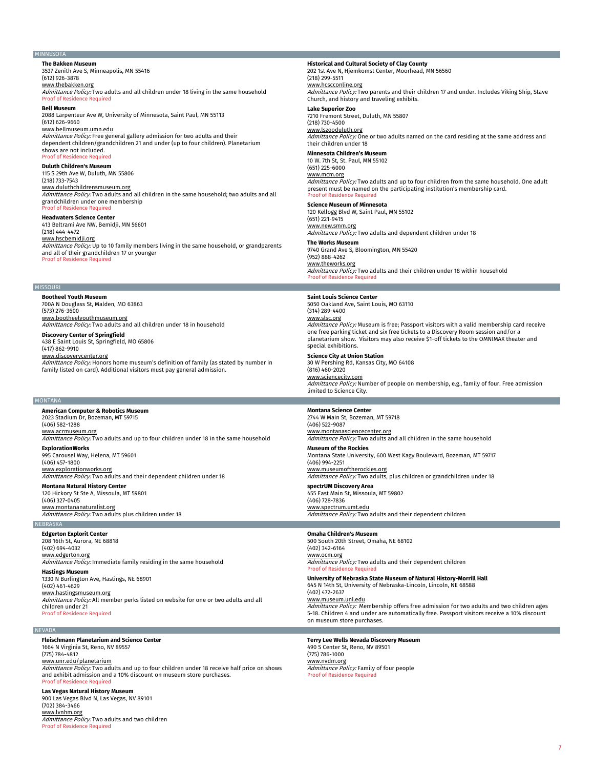# MINNESOTA

**The Bakken Museum** 3537 Zenith Ave S, Minneapolis, MN 55416 (612) 926-3878

www.thebakken.org

Admittance Policy: Two adults and all children under 18 living in the same household Proof of Residence Required

# **Bell Museum**

2088 Larpenteur Ave W, University of Minnesota, Saint Paul, MN 55113 (612) 626-9660 www.bellmuseum.umn.edu Admittance Policy: Free general gallery admission for two adults and their dependent children/grandchildren 21 and under (up to four children). Planetarium shows are not included.

# **Proof of Residence Require**

**Duluth Children's Museum** 115 S 29th Ave W, Duluth, MN 55806 (218) 733-7543 www.duluthchildrensmuseum.org Admittance Policy: Two adults and all children in the same household; two adults and all grandchildren under one membership Proof of Residence Required

#### **Headwaters Science Center**

413 Beltrami Ave NW, Bemidji, MN 56601 (218) 444-4472 www.hscbemidji.org

Admittance Policy: Up to 10 family members living in the same household, or grandparents and all of their grandchildren 17 or younger ce Required

# MISSOURI

**Bootheel Youth Museum** 700A N Douglass St, Malden, MO 63863 (573) 276-3600 www.bootheelyouthmuseum.org Admittance Policy: Two adults and all children under 18 in household **Discovery Center of Springfield**

438 E Saint Louis St, Springfield, MO 65806 (417) 862-9910

www.discoverycenter.org

Admittance Policy: Honors home museum's definition of family (as stated by number in family listed on card). Additional visitors must pay general admission.

#### MONTANA

**American Computer & Robotics Museum** 2023 Stadium Dr, Bozeman, MT 59715 (406) 582-1288 www.acrmuseum.org Admittance Policy: Two adults and up to four children under 18 in the same household **ExplorationWorks** 995 Carousel Way, Helena, MT 59601

(406) 457-1800 www.explorationworks.org Admittance Policy: Two adults and their dependent children under 18

### **Montana Natural History Center** 120 Hickory St Ste A, Missoula, MT 59801

(406) 327-0405 www.montananaturalist.org Admittance Policy: Two adults plus children under 18

### NEBRASKA

**Edgerton Explorit Center**

208 16th St, Aurora, NE 68818 (402) 694-4032 www.edgerton.org Admittance Policy: Immediate family residing in the same household

# **Hastings Museum**

1330 N Burlington Ave, Hastings, NE 68901 (402) 461-4629

www.hastingsmuseum.org

Admittance Policy: All member perks listed on website for one or two adults and all children under 21 Proof of Residence Required

## NEVADA

**Fleischmann Planetarium and Science Center** 1664 N Virginia St, Reno, NV 89557 (775) 784-4812

www.unr.edu/planetarium Admittance Policy: Two adults and up to four children under 18 receive half price on shows and exhibit admission and a 10% discount on museum store purchases. **Proof of Residence Require** 

# **Las Vegas Natural History Museum** 900 Las Vegas Blvd N, Las Vegas, NV 89101 (702) 384-3466 www.lvnhm.org Admittance Policy: Two adults and two children

**Proof of Residence Required** 

**Historical and Cultural Society of Clay County**<br>202 1st Ave N, Hjemkomst Center, Moorhead, MN 56560 (218) 299-5511

## www.hcscconline.org

Admittance Policy: Two parents and their children 17 and under. Includes Viking Ship, Stave Church, and history and traveling exhibits.

# **Lake Superior Zoo**

7210 Fremont Street, Duluth, MN 55807 (218) 730-4500

# www.lszooduluth.org

Admittance Policy: One or two adults named on the card residing at the same address and their children under 18

# **Minnesota Children's Museum**

10 W. 7th St, St. Paul, MN 55102 (651) 225-6000 www.mcm.org Admittance Policy: Two adults and up to four children from the same household. One adult present must be named on the participating institution's membership card. Proof of Residence Required

# **Science Museum of Minnesota**

120 Kellogg Blvd W, Saint Paul, MN 55102 (651) 221-9415 www.new.smm.org Admittance Policy: Two adults and dependent children under 18

**The Works Museum** 9740 Grand Ave S, Bloomington, MN 55420 (952) 888-4262 www.theworks.org Admittance Policy: Two adults and their children under 18 within household Proof of Residence Required

## **Saint Louis Science Center**

5050 Oakland Ave, Saint Louis, MO 63110 (314) 289-4400 www.slsc.org Admittance Policy: Museum is free; Passport visitors with a valid membership card receive one free parking ticket and six free tickets to a Discovery Room session and/or a planetarium show. Visitors may also receive \$1-off tickets to the OMNIMAX theater and special exhibitions.

**Science City at Union Station**

30 W Pershing Rd, Kansas City, MO 64108 (816) 460-2020 www.sciencecity.com Admittance Policy: Number of people on membership, e.g., family of four. Free admission limited to Science City.

# **Montana Science Center**

2744 W Main St, Bozeman, MT 59718 (406) 522-9087 <u>www.montanasciencecenter.org</u><br>*Admittance Policy:* Two adults and all children in the same household

**Museum of the Rockies** Montana State University, 600 West Kagy Boulevard, Bozeman, MT 59717 (406) 994-2251

<u>www.museumoftherockies.org</u><br>*Admittance Policy:* Two adults, plus children or grandchildren under 18

**spectrUM Discovery Area** 455 East Main St, Missoula, MT 59802 (406) 728-7836 www.spectrum.umt.edu Admittance Policy: Two adults and their dependent children

# **Omaha Children's Museum**

500 South 20th Street, Omaha, NE 68102 (402) 342-6164 www.ocm.org Admittance Policy: Two adults and their dependent children **Proof of Residence Required** 

**University of Nebraska State Museum of Natural History-Morrill Hall**

645 N 14th St, University of Nebraska-Lincoln, Lincoln, NE 68588 (402) 472-2637

www.museum.unl.edu

*Admittance Policy:* Membership offers free admission for two adults and two children ages<br>5-18. Children 4 and under are automatically free. Passport visitors receive a 10% discount on museum store purchases.

**Terry Lee Wells Nevada Discovery Museum** 490 S Center St, Reno, NV 89501 (775) 786-1000 www.nvdm.org Admittance Policy: Family of four people **Proof of Residence**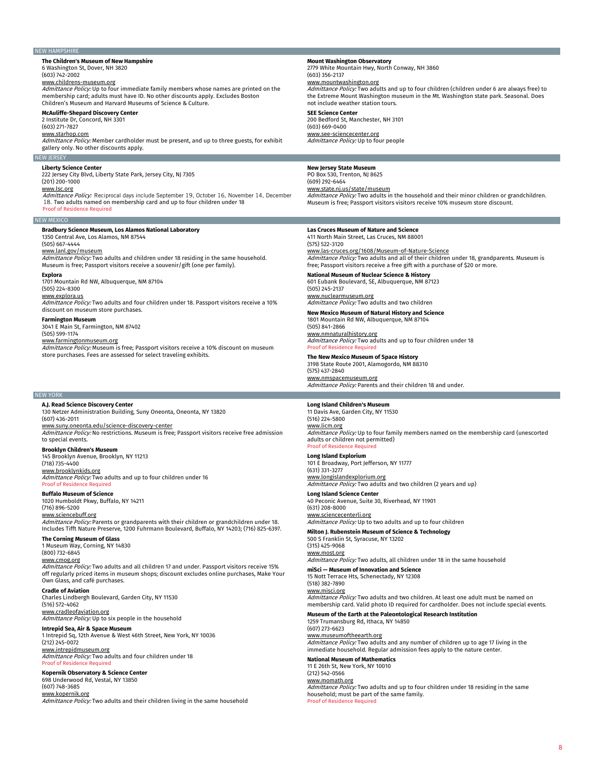## NEW HAMPSHIRE

# **The Children's Museum of New Hampshire**

6 Washington St, Dover, NH 3820 (603) 742-2002

# www.childrens-museum.org

Admittance Policy: Up to four immediate family members whose names are printed on the membership card; adults must have ID. No other discounts apply. Excludes Boston Children's Museum and Harvard Museums of Science & Culture.

# **McAuliffe-Shepard Discovery Center**

2 Institute Dr, Concord, NH 3301 (603) 271-7827

www.starhop.com

Admittance Policy: Member cardholder must be present, and up to three guests, for exhibit gallery only. No other discounts apply.

#### NEW JERSEY

#### **Liberty Science Center**

222 Jersey City Blvd, Liberty State Park, Jersey City, NJ 7305 (201) 200-1000

www.lsc.org<br>*Admittance Policy:* Reciprocal days include September 19, October 16, November 14, December 18. Two adults named on membership card and up to four children under 18 Proof of Residence Required

# **Bradbury Science Museum, Los Alamos National Laboratory**<br>1350 Central Ave, Los Alamos, NM 87544

# (505) 667-4444

www.lanl.gov/museum

Admittance Policy: Two adults and children under 18 residing in the same household. Museum is free; Passport visitors receive a souvenir/gift (one per family).

# **Explora**

NEW MEXICO

1701 Mountain Rd NW, Albuquerque, NM 87104 (505) 224-8300

# www.explora.us

Admittance Policy: Two adults and four children under 18. Passport visitors receive a 10% discount on museum store purchases.

#### **Farmington Museum**

3041 E Main St, Farmington, NM 87402 (505) 599-1174

<u>www.farmingtonmuseum.org</u><br>*Admittance Policy:* Museum is free; Passport visitors receive a 10% discount on museum store purchases. Fees are assessed for select traveling exhibits.

# NEW YORK

**A.J. Read Science Discovery Center**

130 Netzer Administration Building, Suny Oneonta, Oneonta, NY 13820 (607) 436-2011

www.suny.oneonta.edu/science-discovery-center Admittance Policy: No restrictions. Museum is free; Passport visitors receive free admission

# **Brooklyn Children's Museum**

145 Brooklyn Avenue, Brooklyn, NY 11213 (718) 735-4400 www.brooklynkids.org

Admittance Policy: Two adults and up to four children under 16 **Proof of Residence Required** 

#### **Buffalo Museum of Science**

to special events.

1020 Humboldt Pkwy, Buffalo, NY 14211 (716) 896-5200

# www.sciencebuff.org

*Admittance Policy:* Parents or grandparents with their children or grandchildren under 18.<br>Includes Tifft Nature Preserve, 1200 Fuhrmann Boulevard, Buffalo, NY 14203; (716) 825-6397.

#### **The Corning Museum of Glass**

1 Museum Way, Corning, NY 14830 (800) 732-6845

# www.cmog.org

Admittance Policy: Two adults and all children 17 and under. Passport visitors receive 15% off regularly priced items in museum shops; discount excludes online purchases, Make Your Own Glass, and café purchases.

# **Cradle of Aviation**

Charles Lindbergh Boulevard, Garden City, NY 11530 (516) 572-4062

www.cradleofaviation.org<br>*Admittance Policy:* Up to six people in the household

# **Intrepid Sea, Air & Space Museum**

1 Intrepid Sq, 12th Avenue & West 46th Street, New York, NY 10036 (212) 245-0072

# <u>www.intrepidmuseum.org</u><br>*Admittance Policy:* Two adults and four children under 18 Proof of Residence Required

# **Kopernik Observatory & Science Center** 698 Underwood Rd, Vestal, NY 13850

(607) 748-3685

# www.kopernik.org

Admittance Policy: Two adults and their children living in the same household

# **Mount Washington Observatory**<br>2779 White Mountain Hwy, North Conway, NH 3860

(603) 356-2137 www.mountwashington.org

Admittance Policy: Two adults and up to four children (children under 6 are always free) to the Extreme Mount Washington museum in the Mt. Washington state park. Seasonal. Does not include weather station tours.

# **SEE Science Center**

200 Bedford St, Manchester, NH 3101 (603) 669-0400 www.see-sciencecenter.org

Admittance Policy: Up to four people

# **New Jersey State Museum**

PO Box 530, Trenton, NJ 8625 (609) 292-6464 www.state.nj.us/state/museum Admittance Policy: Two adults in the household and their minor children or grandchildren.

Museum is free; Passport visitors visitors receive 10% museum store discount.

# **Las Cruces Museum of Nature and Science**

411 North Main Street, Las Cruces, NM 88001

(575) 522-3120 www.las-cruces.org/1608/Museum-of-Nature-Science Admittance Policy: Two adults and all of their children under 18, grandparents. Museum is

# free; Passport visitors receive a free gift with a purchase of \$20 or more. **National Museum of Nuclear Science & History**

601 Eubank Boulevard, SE, Albuquerque, NM 87123 (505) 245-2137

www.nuclearmuseum.org Admittance Policy: Two adults and two children

**New Mexico Museum of Natural History and Science**

1801 Mountain Rd NW, Albuquerque, NM 87104 (505) 841-2866

www.nmnaturalhistory.org Admittance Policy: Two adults and up to four children under 18 **Proof of Residence** 

**The New Mexico Museum of Space History** 3198 State Route 2001, Alamogordo, NM 88310

(575) 437-2840 www.nmspacemuseum.org Admittance Policy: Parents and their children 18 and under.

# **Long Island Children's Museum**

11 Davis Ave, Garden City, NY 11530 (516) 224-5800 www.licm.org Admittance Policy: Up to four family members named on the membership card (unescorted adults or children not permitted) Proof of Residence Required

# **Long Island Explorium**

101 E Broadway, Port Jefferson, NY 11777 (631) 331-3277 www.longislandexplorium.org Admittance Policy: Two adults and two children (2 years and up) **Long Island Science Center**

40 Peconic Avenue, Suite 30, Riverhead, NY 11901

(631) 208-8000 www.sciencecenterli.org

Admittance Policy: Up to two adults and up to four children

## **Milton J. Rubenstein Museum of Science & Technology** 500 S Franklin St, Syracuse, NY 13202

(315) 425-9068 www.most.org

Admittance Policy: Two adults, all children under 18 in the same household

# **miSci — Museum of Innovation and Science**

15 Nott Terrace Hts, Schenectady, NY 12308 (518) 382-7890 www.misci.org Admittance Policy: Two adults and two children. At least one adult must be named on membership card. Valid photo ID required for cardholder. Does not include special events.

# **Museum of the Earth at the Paleontological Research Institution**

1259 Trumansburg Rd, Ithaca, NY 14850 (607) 273-6623 www.museumoftheearth.org Admittance Policy: Two adults and any number of children up to age 17 living in the immediate household. Regular admission fees apply to the nature center.

# **National Museum of Mathematics**

11 E 26th St, New York, NY 10010 (212) 542-0566 www.momath.org Admittance Policy: Two adults and up to four children under 18 residing in the same household; must be part of the same family. Proof of Residence Required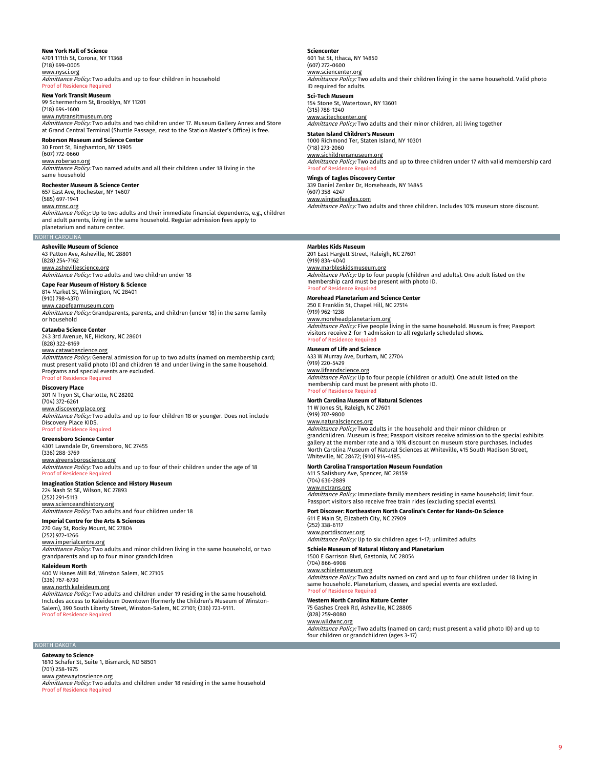# **New York Hall of Science**

4701 111th St, Corona, NY 11368 (718) 699-0005 www.nysci.org Admittance Policy: Two adults and up to four children in household

### **Proof of Residence**

**New York Transit Museum** 99 Schermerhorn St, Brooklyn, NY 11201 (718) 694-1600

<u>www.nytransitmuseum.org</u><br>*Admittance Policy:* Two adults and two children under 17. Museum Gallery Annex and Store at Grand Central Terminal (Shuttle Passage, next to the Station Master's Office) is free.

# **Roberson Museum and Science Center**

30 Front St, Binghamton, NY 13905 (607) 772-0660 www.roberson.org

Admittance Policy: Two named adults and all their children under 18 living in the same household

**Rochester Museum & Science Center** 657 East Ave, Rochester, NY 14607

(585) 697-1941

www.rmsc.org Admittance Policy: Up to two adults and their immediate financial dependents, e.g., children and adult parents, living in the same household. Regular admission fees apply to planetarium and nature center.

# NORTH CAROLINA

**Asheville Museum of Science** 43 Patton Ave, Asheville, NC 28801 (828) 254-7162 <u>www.ashevillescience.org</u><br>*Admittance Policy:* Two adults and two children under 18

**Cape Fear Museum of History & Science**

814 Market St, Wilmington, NC 28401 (910) 798-4370

# www.capefearmuseum.com

Admittance Policy: Grandparents, parents, and children (under 18) in the same family or household

# **Catawba Science Center** 243 3rd Avenue, NE, Hickory, NC 28601

(828) 322-8169

# www.catawbascience.org

Admittance Policy: General admission for up to two adults (named on membership card; must present valid photo ID) and children 18 and under living in the same household. Programs and special events are excluded. Proof of Residence Required

**Discovery Place** 301 N Tryon St, Charlotte, NC 28202 (704) 372-6261 www.discoveryplace.org

#### Admittance Policy: Two adults and up to four children 18 or younger. Does not include Discovery Place KIDS. Proof of Residence Required

**Greensboro Science Center**

4301 Lawndale Dr, Greensboro, NC 27455 (336) 288-3769

<u>www.greensboroscience.org</u><br>*Admittance Policy:* Two adults and up to four of their children under the age of 18 Proof of Residence Required

# **Imagination Station Science and History Museum**<br>224 Nash St SE, Wilson, NC 27893

(252) 291-5113 www.scienceandhistory.org Admittance Policy: Two adults and four children under 18

# **Imperial Centre for the Arts & Sciences**

270 Gay St, Rocky Mount, NC 27804 (252) 972-1266

<u>www.imperialcentre.org</u><br>*Admittance Policy:* Two adults and minor children living in the same household, or two grandparents and up to four minor grandchildren

**Kaleideum North**

400 W Hanes Mill Rd, Winston Salem, NC 27105 (336) 767-6730

# www.north.kaleideum.org

Admittance Policy: Two adults and children under 19 residing in the same household. Includes access to Kaleideum Downtown (formerly the Children's Museum of Winston-Salem), 390 South Liberty Street, Winston-Salem, NC 27101; (336) 723-9111. Proof of Residence Requi

# **Sciencenter**

601 1st St, Ithaca, NY 14850 (607) 272-0600 www.sciencenter.org Admittance Policy: Two adults and their children living in the same household. Valid photo

ID required for adults. **Sci-Tech Museum**

154 Stone St, Watertown, NY 13601 (315) 788-1340

# www.scitechcenter.org

Admittance Policy: Two adults and their minor children, all living together

**Staten Island Children's Museum** 1000 Richmond Ter, Staten Island, NY 10301 (718) 273-2060

<u>www.sichildrensmuseum.org</u><br>*Admittance Policy:* Two adults and up to three children under 17 with valid membership card Proof of Res

# **Wings of Eagles Discovery Center**<br>339 Daniel Zenker Dr, Horseheads, NY 14845

(607) 358-4247

www.wingsofeagles.com Admittance Policy: Two adults and three children. Includes 10% museum store discount.

# **Marbles Kids Museum**

201 East Hargett Street, Raleigh, NC 27601 (919) 834-4040 <u>www.marbleskidsmuseum.org</u><br>*Admittance Policy:* Up to four people (children and adults). One adult listed on the membership card must be present with photo ID. Proof of Residence Required

# **Morehead Planetarium and Science Center**

250 E Franklin St, Chapel Hill, NC 27514 (919) 962-1238 www.moreheadplanetarium.org Admittance Policy: Five people living in the same household. Museum is free; Passport visitors receive 2-for-1 admission to all regularly scheduled shows. Proof of Residence Required

## **Museum of Life and Science**

433 W Murray Ave, Durham, NC 27704 (919) 220-5429 <u>www.lifeandscience.org</u><br>*Admittance Policy:* Up to four people (children or adult). One adult listed on the membership card must be present with photo ID. **Proof of Residence Require** 

# **North Carolina Museum of Natural Sciences**

11 W Jones St, Raleigh, NC 27601

### (919) 707-9800 www.naturalsciences.org

Admittance Policy: Two adults in the household and their minor children or grandchildren. Museum is free; Passport visitors receive admission to the special exhibits gallery at the member rate and a 10% discount on museum store purchases. Includes North Carolina Museum of Natural Sciences at Whiteville, 415 South Madison Street, Whiteville, NC 28472; (910) 914-4185.

# **North Carolina Transportation Museum Foundation**

411 S Salisbury Ave, Spencer, NC 28159 (704) 636-2889 www.nctrans.org

Admittance Policy: Immediate family members residing in same household; limit four. Passport visitors also receive free train rides (excluding special events).

**Port Discover: Northeastern North Carolina's Center for Hands-On Science** 611 E Main St, Elizabeth City, NC 27909

# (252) 338-6117

www.portdiscover.org Admittance Policy: Up to six children ages 1-17; unlimited adults

**Schiele Museum of Natural History and Planetarium** 1500 E Garrison Blvd, Gastonia, NC 28054

#### (704) 866-6908 www.schielemuseum.org

Admittance Policy: Two adults named on card and up to four children under 18 living in same household. Planetarium, classes, and special events are excluded Proof of Residence Required

# **Western North Carolina Nature Center**

75 Gashes Creek Rd, Asheville, NC 28805 (828) 259-8080

# www.wildwnc.org

Admittance Policy: Two adults (named on card; must present a valid photo ID) and up to four children or grandchildren (ages 3-17)

# NORTH DAKOTA

**Gateway to Science** 1810 Schafer St, Suite 1, Bismarck, ND 58501 (701) 258-1975

# www.gatewaytoscience.org

Admittance Policy: Two adults and children under 18 residing in the same household **Proof of Resid**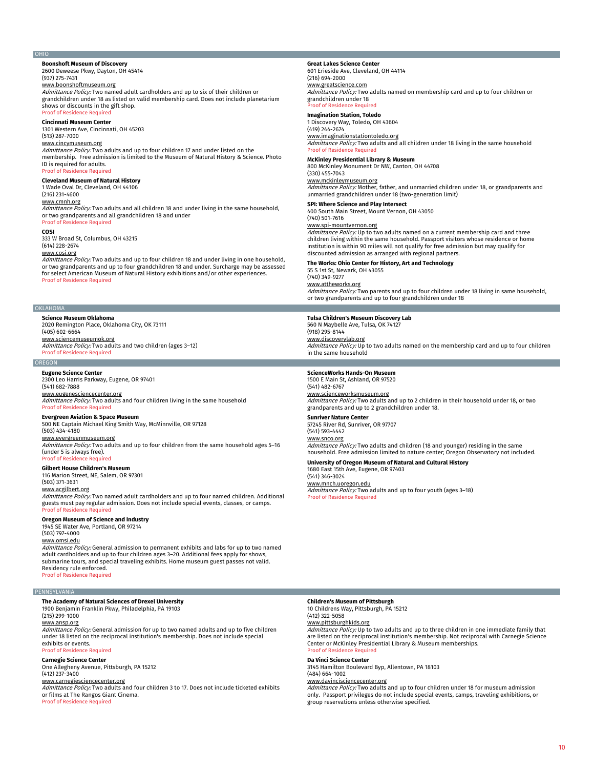# OHIO

# **Boonshoft Museum of Discovery** 2600 Deweese Pkwy, Dayton, OH 45414

(937) 275-7431

<u>www.boonshoftmuseum.org</u><br>*Admittance Policy:* Two named adult cardholders and up to six of their children or grandchildren under 18 as listed on valid membership card. Does not include planetarium shows or discounts in the gift shop. **Proof of Residence Require** 

# **Cincinnati Museum Center**

1301 Western Ave, Cincinnati, OH 45203 (513) 287-7000

www.cincymuseum.org Admittance Policy: Two adults and up to four children 17 and under listed on the membership. Free admission is limited to the Museum of Natural History & Science. Photo ID is required for adults. **Proof of Residence Required** 

# **Cleveland Museum of Natural History**

1 Wade Oval Dr, Cleveland, OH 44106

# (216) 231-4600

<u>www.cmnh.org</u><br>*Admittance Policy:* Two adults and all children 18 and under living in the same household, or two grandparents and all grandchildren 18 and under Proof of Residence Required

#### **COSI**

333 W Broad St, Columbus, OH 43215 (614) 228-2674

# www.cosi.org

*Admittance Policy:* Two adults and up to four children 18 and under living in one household,<br>or two grandparents and up to four grandchildren 18 and under. Surcharge may be assessed for select American Museum of Natural History exhibitions and/or other experiences. Proof of Residence Required

#### OKLAHOMA

**Science Museum Oklahoma** 2020 Remington Place, Oklahoma City, OK 73111 (405) 602-6664 www.sciencemuseumok.org Admittance Policy: Two adults and two children (ages 3-12) Proof of Residence Required

# **OREGON**

**Eugene Science Center**

2300 Leo Harris Parkway, Eugene, OR 97401 (541) 682-7888

<u>www.eugenesciencecenter.org</u><br>*Admittance Policy:* Two adults and four children living in the same household Proof of Residence Required

# **Evergreen Aviation & Space Museum**

500 NE Captain Michael King Smith Way, McMinnville, OR 97128 (503) 434-4180

# www.evergreenmuseum.org

Admittance Policy: Two adults and up to four children from the same household ages 5-16 (under 5 is always free). oof of Residen

# **Gilbert House Children's Museum**

116 Marion Street, NE, Salem, OR 97301

# (503) 371-3631 www.acgilbert.org

Admittance Policy: Two named adult cardholders and up to four named children. Additional guests must pay regular admission. Does not include special events, classes, or camps. Proof of Residence Required

# **Oregon Museum of Science and Industry**

1945 SE Water Ave, Portland, OR 97214 (503) 797-4000

www.omsi.edu

*Admittance Policy:* General admission to permanent exhibits and labs for up to two named<br>adult cardholders and up to four children ages 3–20. Additional fees apply for shows, submarine tours, and special traveling exhibits. Home museum guest passes not valid. Residency rule enforced. Proof of Residence Required

#### PENNSYLVANIA

# **The Academy of Natural Sciences of Drexel University**

1900 Benjamin Franklin Pkwy, Philadelphia, PA 19103 (215) 299-1000

# www.ansp.org

Admittance Policy: General admission for up to two named adults and up to five children under 18 listed on the reciprocal institution's membership. Does not include special exhibits or events.

# Proof of Residence Re **Carnegie Science Center**

One Allegheny Avenue, Pittsburgh, PA 15212 (412) 237-3400

# www.carnegiesciencecenter.org

*Admittance Policy:* Two adults and four children 3 to 17. Does not include ticketed exhibits<br>or films at The Rangos Giant Cinema. Proof of Residence Required

# **Great Lakes Science Center** 601 Erieside Ave, Cleveland, OH 44114

(216) 694-2000

<u>www.greatscience.com</u><br>*Admittance Policy:* Two adults named on membership card and up to four children or grandchildren under 18 oof of Residence Req

# **Imagination Station, Toledo**

1 Discovery Way, Toledo, OH 43604

# (419) 244-2674

www.imaginationstationtoledo.org Admittance Policy: Two adults and all children under 18 living in the same household Proof of Residence Required

# **McKinley Presidential Library & Museum**

800 McKinley Monument Dr NW, Canton, OH 44708 (330) 455-7043

<u>www.mckinleymuseum.org</u><br>*Admittance Policy:* Mother, father, and unmarried children under 18, or grandparents and unmarried grandchildren under 18 (two-generation limit)

# **SPI: Where Science and Play Intersect**

400 South Main Street, Mount Vernon, OH 43050

(740) 501-7616 www.spi-mountvernon.org

Admittance Policy: Up to two adults named on a current membership card and three children living within the same household. Passport visitors whose residence or home institution is within 90 miles will not qualify for free admission but may qualify for discounted admission as arranged with regional partners.

# **The Works: Ohio Center for History, Art and Technology**

55 S 1st St, Newark, OH 43055 (740) 349-9277 www.attheworks.org

*Admittance Policy:* Two parents and up to four children under 18 living in same household,<br>or two grandparents and up to four grandchildren under 18

# **Tulsa Children's Museum Discovery Lab**

560 N Maybelle Ave, Tulsa, OK 74127 (918) 295-8144

## www.discoverylab.org

Admittance Policy: Up to two adults named on the membership card and up to four children in the same household

## **ScienceWorks Hands-On Museum** 1500 E Main St, Ashland, OR 97520

(541) 482-6767 <u>www.scienceworksmuseum.org</u><br>*Admittance Policy:* Two adults and up to 2 children in their household under 18, or two grandparents and up to 2 grandchildren under 18.

# **Sunriver Nature Center**

57245 River Rd, Sunriver, OR 97707

Admittance Policy: Two adults and children (18 and younger) residing in the same household. Free admission limited to nature center; Oregon Observatory not included.

# **University of Oregon Museum of Natural and Cultural History** 1680 East 15th Ave, Eugene, OR 97403

(541) 346-3024

<u>www.mnch.uoregon.edu</u><br>*Admittance Policy:* Two adults and up to four youth (ages 3–18) Proof of Residence Required

# **Children's Museum of Pittsburgh**

10 Childrens Way, Pittsburgh, PA 15212 (412) 322-5058

www.pittsburghkids.org

Admittance Policy: Up to two adults and up to three children in one immediate family that are listed on the reciprocal institution's membership. Not reciprocal with Carnegie Science Center or McKinley Presidential Library & Museum memberships. **Proof of Residence** 

# **Da Vinci Science Center**

3145 Hamilton Boulevard Byp, Allentown, PA 18103 (484) 664-1002

# www.davincisciencecenter.org

*Admittance Policy:* Two adults and up to four children under 18 for museum admission<br>only. Passport privileges do not include special events, camps, traveling exhibitions, or group reservations unless otherwise specified.

# (541) 593-4442 www.snco.org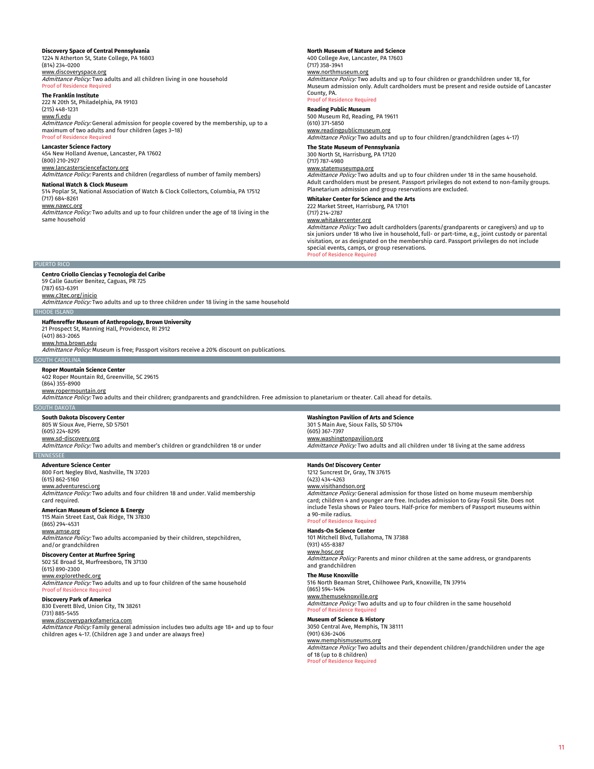# **Discovery Space of Central Pennsylvania**

1224 N Atherton St, State College, PA 16803 (814) 234-0200 www.discoveryspace.org Admittance Policy: Two adults and all children living in one household

# **Proof of Residence**

**The Franklin Institute** 222 N 20th St, Philadelphia, PA 19103 (215) 448-1231

www.fi.edu Admittance Policy: General admission for people covered by the membership, up to a maximum of two adults and four children (ages 3–18) Proof of Residence Required

**Lancaster Science Factory** 454 New Holland Avenue, Lancaster, PA 17602 (800) 210-2927

# www.lancastersciencefactory.org

Admittance Policy: Parents and children (regardless of number of family members) **National Watch & Clock Museum**

# 514 Poplar St, National Association of Watch & Clock Collectors, Columbia, PA 17512 (717) 684-8261

www.nawcc.org Admittance Policy: Two adults and up to four children under the age of 18 living in the same household

# **North Museum of Nature and Science** 400 College Ave, Lancaster, PA 17603

(717) 358-3941 www.northmuseum.org Admittance Policy: Two adults and up to four children or grandchildren under 18, for Museum admission only. Adult cardholders must be present and reside outside of Lancaster County, PA. Proof of Resi

# **Reading Public Museum**

500 Museum Rd, Reading, PA 19611 (610) 371-5850 www.readingpublicmuseum.org Admittance Policy: Two adults and up to four children/grandchildren (ages 4-17)

# **The State Museum of Pennsylvania**

300 North St, Harrisburg, PA 17120 (717) 787-4980

www.statemuseumpa.org

Admittance Policy: Two adults and up to four children under 18 in the same household. Adult cardholders must be present. Passport privileges do not extend to non-family groups. Planetarium admission and group reservations are excluded.

# **Whitaker Center for Science and the Arts**

222 Market Street, Harrisburg, PA 17101

# (717) 214-2787

www.whitakercenter.org *Admittance Policy:* Two adult cardholders (parents/grandparents or caregivers) and up to<br>six juniors under 18 who live in household, full- or part-time, e.g., joint custody or parental visitation, or as designated on the membership card. Passport privileges do not include special events, camps, or group reservations.

# PUERTO RICO

**Centro Criollo Ciencias y Tecnologia del Caribe** 59 Calle Gautier Benitez, Caguas, PR 725 (787) 653-6391 www.c3tec.org/inicio Admittance Policy: Two adults and up to three children under 18 living in the same household

## RHODE ISLAND

# **Haffenreffer Museum of Anthropology, Brown University**

21 Prospect St, Manning Hall, Providence, RI 2912 (401) 863-2065

www.hma.brown.edu

Admittance Policy: Museum is free; Passport visitors receive a 20% discount on publications.

# **SOUTH CAROLIN**

**Roper Mountain Science Center** 402 Roper Mountain Rd, Greenville, SC 29615

# (864) 355-8900

<u>www.ropermountain.org</u><br>*Admittance Policy:* Two adults and their children; grandparents and grandchildren. Free admission to planetarium or theater. Call ahead for details.

# SOUTH DAKOTA

**South Dakota Discovery Center**

### 805 W Sioux Ave, Pierre, SD 57501 (605) 224-8295

www.sd-discovery.org Admittance Policy: Two adults and member's children or grandchildren 18 or under **TENNESSE** 

**Adventure Science Center** 800 Fort Negley Blvd, Nashville, TN 37203 (615) 862-5160 www.adventuresci.org Admittance Policy: Two adults and four children 18 and under. Valid membership card required.

# **American Museum of Science & Energy**

115 Main Street East, Oak Ridge, TN 37830 (865) 294-4531 www.amse.org

Admittance Policy: Two adults accompanied by their children, stepchildren, and/or grandchildren

# **Discovery Center at Murfree Spring**

502 SE Broad St, Murfreesboro, TN 37130 (615) 890-2300 www.explorethedc.org

Admittance Policy: Two adults and up to four children of the same household Proof of Residence Required

# **Discovery Park of America**

830 Everett Blvd, Union City, TN 38261 (731) 885-5455

# www.discoveryparkofamerica.com

Admittance Policy: Family general admission includes two adults age 18+ and up to four children ages 4-17. (Children age 3 and under are always free)

**Washington Pavilion of Arts and Science** 301 S Main Ave, Sioux Falls, SD 57104 (605) 367-7397 www.washingtonpavilion.org

# **Hands On! Discovery Center**

1212 Suncrest Dr, Gray, TN 37615 (423) 434-4263 www.visithandson.org Admittance Policy: General admission for those listed on home museum membership

Admittance Policy: Two adults and all children under 18 living at the same address

card; children 4 and younger are free. Includes admission to Gray Fossil Site. Does not include Tesla shows or Paleo tours. Half-price for members of Passport museums within a 90-mile radius. Proof of Residence Required

## **Hands-On Science Center**

101 Mitchell Blvd, Tullahoma, TN 37388 (931) 455-8387 www.hosc.org Admittance Policy: Parents and minor children at the same address, or grandparents

# and grandchildren

**The Muse Knoxville** 516 North Beaman Stret, Chilhowee Park, Knoxville, TN 37914 (865) 594-1494 www.themuseknoxville.org

## Admittance Policy: Two adults and up to four children in the same household Proof of Residence Required

# **Museum of Science & History**

3050 Central Ave, Memphis, TN 38111 (901) 636-2406 www.memphismuseums.org

Admittance Policy: Two adults and their dependent children/grandchildren under the age of 18 (up to 8 children) Proof of Residence Required

# Proof of Residence Required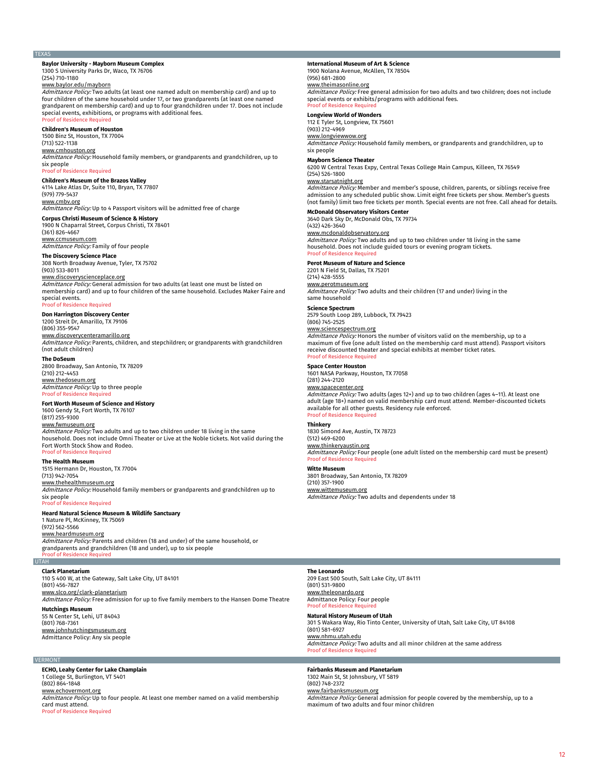# TEXAS

## **Baylor University - Mayborn Museum Complex** 1300 S University Parks Dr, Waco, TX 7670 (254) 710-1180

## www.baylor.edu/mayborn

Admittance Policy: Two adults (at least one named adult on membership card) and up to four children of the same household under 17, or two grandparents (at least one named grandparent on membership card) and up to four grandchildren under 17. Does not include special events, exhibitions, or programs with additional fees. Proof of Residence Required

# **Children's Museum of Houston**

1500 Binz St, Houston, TX 77004

(713) 522-1138 www.cmhouston.org Admittance Policy: Household family members, or grandparents and grandchildren, up to

six people Proof of Residence Required

# **Children's Museum of the Brazos Valley** 4114 Lake Atlas Dr, Suite 110, Bryan, TX 77807

(979) 779-5437 <u>www.cmbv.org</u><br>*Admittance Policy:* Up to 4 Passport visitors will be admitted free of charge

# **Corpus Christi Museum of Science & History**

1900 N Chaparral Street, Corpus Christi, TX 78401 (361) 826-4667

<u>www.ccmuseum.com</u><br>*Admittance Policy:* Family of four people

#### **The Discovery Science Place** 308 North Broadway Avenue, Tyler, TX 75702 (903) 533-8011

www.discoveryscienceplace.org Admittance Policy: General admission for two adults (at least one must be listed on membership card) and up to four children of the same household. Excludes Maker Faire and special events.

# Proof of Residence Required

**Don Harrington Discovery Center** 1200 Streit Dr, Amarillo, TX 79106

(806) 355-9547

# www.discoverycenteramarillo.org

Admittance Policy: Parents, children, and stepchildren; or grandparents with grandchildren (not adult children)

# **The DoSeum**

2800 Broadway, San Antonio, TX 78209 (210) 212-4453

# www.thedoseum.org Admittance Policy: Up to three people Proof of Residence Required

# **Fort Worth Museum of Science and History**

1600 Gendy St, Fort Worth, TX 76107 (817) 255-9300 www.fwmuseum.org *Admittance Policy:* Two adults and up to two children under 18 living in the same<br>household. Does not include Omni Theater or Live at the Noble tickets. Not valid during the Fort Worth Stock Show and Rodeo. Proof of Residence Required

# **The Health Museum**

1515 Hermann Dr, Houston, TX 77004 (713) 942-7054

www.thehealthmuseum.org Admittance Policy: Household family members or grandparents and grandchildren up to six people Proof of Residence Required

# **Heard Natural Science Museum & Wildlife Sanctuary**

1 Nature Pl, McKinney, TX 75069 (972) 562-5566 www.heardmuseum.org Admittance Policy: Parents and children (18 and under) of the same household, or grandparents and grandchildren (18 and under), up to six people Proof of Residence Required

# **Clark Planetarium**

UTAH

110 S 400 W, at the Gateway, Salt Lake City, UT 84101 (801) 456-7827

www.slco.org/clark-planetarium Admittance Policy: Free admission for up to five family members to the Hansen Dome Theatre

**Hutchings Museum** 55 N Center St, Lehi, UT 84043 (801) 768-7361

# www.johnhutchingsmuseum.org Admittance Policy: Any six people

# **VERMONT**

**ECHO, Leahy Center for Lake Champlain** 1 College St, Burlington, VT 5401 (802) 864-1848 www.echovermont.org Admittance Policy: Up to four people. At least one member named on a valid membership card must attend. Proof of Residence Required

#### **International Museum of Art & Science** 1900 Nolana Avenue, McAllen, TX 78504

(956) 681-2800

<u>www.theimasonline.org</u><br>*Admittance Policy:* Free general admission for two adults and two children; does not include special events or exhibits/programs with additional fees. **Proof of Residence Required** 

# **Longview World of Wonders**

# 112 E Tyler St, Longview, TX 75601 (903) 212-4969

www.longviewwow.org

Admittance Policy: Household family members, or grandparents and grandchildren, up to six people

# **Mayborn Science Theater**

6200 W Central Texas Expy, Central Texas College Main Campus, Killeen, TX 76549 (254) 526-1800

<u>www.starsatnight.org</u><br>*Admittance Policy:* Member and member's spouse, children, parents, or siblings receive free admission to any scheduled public show. Limit eight free tickets per show. Member's guests (not family) limit two free tickets per month. Special events are not free. Call ahead for details.

**McDonald Observatory Visitors Center**

3640 Dark Sky Dr, McDonald Obs, TX 79734 (432) 426-3640

# www.mcdonaldobservatory.org

Admittance Policy: Two adults and up to two children under 18 living in the same household. Does not include guided tours or evening program tickets. Proof of Residence Required

# **Perot Museum of Nature and Science**

2201 N Field St, Dallas, TX 75201

(214) 428-5555 www.perotmuseum.org Admittance Policy: Two adults and their children (17 and under) living in the same household

# **Science Spectrum**

2579 South Loop 289, Lubbock, TX 79423 (806) 745-2525

<u>www.sciencespectrum.org</u><br>*Admittance Policy:* Honors the number of visitors valid on the membership, up to a maximum of five (one adult listed on the membership card must attend). Passport visitors receive discounted theater and special exhibits at member ticket rates.<br>Proof of Residence Required

# **Space Center Houston**

1601 NASA Parkway, Houston, TX 77058 (281) 244-2120

### www.spacecenter.org

Admittance Policy: Two adults (ages 12+) and up to two children (ages 4-11). At least one adult (age 18+) named on valid membership card must attend. Member-discounted tickets available for all other guests. Residency rule enforced. roof of Re

# **Thinkery**

1830 Simond Ave, Austin, TX 78723 (512) 469-6200

# www.thinkeryaus

Admittance Policy: Four people (one adult listed on the membership card must be present) Proof of Residence Requ

#### **Witte Museum**

3801 Broadway, San Antonio, TX 78209

(210) 357-1900

www.wittemuseum.org Admittance Policy: Two adults and dependents under 18

# **The Leonardo** 209 East 500 South, Salt Lake City, UT 84111 (801) 531-9800 www.theleonardo.org Admittance Policy: Four people Proof of Residence Req

### **Natural History Museum of Utah** 301 S Wakara Way, Rio Tinto Center, University of Utah, Salt Lake City, UT 84108 (801) 581-6927 www.nhmu.utah.edu

Admittance Policy: Two adults and all minor children at the same address Proof of Residence Required

# **Fairbanks Museum and Planetarium**

1302 Main St, St Johnsbury, VT 5819 (802) 748-2372 <u>www.fairbanksmuseum.org</u><br>*Admittance Policy:* General admission for people covered by the membership, up to a maximum of two adults and four minor children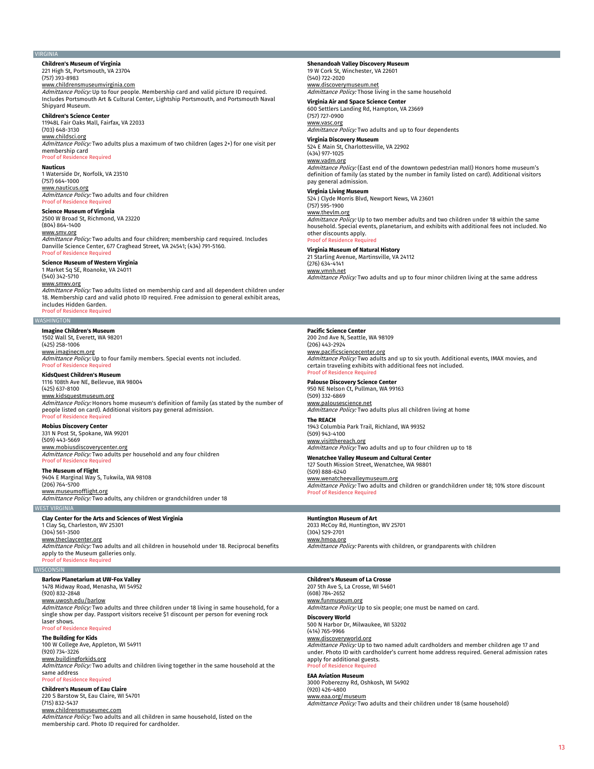## VIRGINIA

**Children's Museum of Virginia** 221 High St, Portsmouth, VA 23704

# (757) 393-8983

www.childrensmuseumvirginia.com

Admittance Policy: Up to four people. Membership card and valid picture ID required. Includes Portsmouth Art & Cultural Center, Lightship Portsmouth, and Portsmouth Naval Shipyard Museum.

# **Children's Science Center**

11948L Fair Oaks Mall, Fairfax, VA 22033 (703) 648-3130

# www.childsci.org

Admittance Policy: Two adults plus a maximum of two children (ages 2+) for one visit per membership card Proof of Residence Required

**Nauticus** 1 Waterside Dr, Norfolk, VA 23510 (757) 664-1000 www.nauticus.org Admittance Policy: Two adults and four children Proof of Residence Required

# **Science Museum of Virginia**

2500 W Broad St, Richmond, VA 23220

(804) 864-1400

www.smv.org

Admittance Policy: Two adults and four children; membership card required. Includes Danville Science Center, 677 Craghead Street, VA 24541; (434) 791-5160. Proof of Residence Required

# **Science Museum of Western Virginia**

1 Market Sq SE, Roanoke, VA 24011 (540) 342-5710 www.smwv.org Admittance Policy: Two adults listed on membership card and all dependent children under 18. Membership card and valid photo ID required. Free admission to general exhibit areas, includes Hidden Garden. Proof of Residence Required

## **WASHINGTON**

**Imagine Children's Museum**

1502 Wall St, Everett, WA 98201 (425) 258-1006 www.imaginecm.org

Admittance Policy: Up to four family members. Special events not included. Proof of Residence Re

# **KidsQuest Children's Museum**

1116 108th Ave NE, Bellevue, WA 98004 (425) 637-8100 www.kidsquestmuseum.org<br>*Admittance Policy:* Honors home museum's definition of family (as stated by the number of people listed on card). Additional visitors pay general admission. Proof of Residence Required

# **Mobius Discovery Center**

331 N Post St, Spokane, WA 99201 (509) 443-5669 www.mobiusdiscoverycenter.org Admittance Policy: Two adults per household and any four children roof of Residence Re

# **The Museum of Flight**

9404 E Marginal Way S, Tukwila, WA 98108 (206) 764-5700

www.museumofflight.org Admittance Policy: Two adults, any children or grandchildren under 18

# WEST VIRGINIA

**Clay Center for the Arts and Sciences of West Virginia**

1 Clay Sq, Charleston, WV 25301 (304) 561-3500 <u>www.theclaycenter.org</u><br>*Admittance Policy:* Two adults and all children in household under 18. Reciprocal benefits apply to the Museum galleries only. Proof of Residence Required

# WISCONSIN

**Barlow Planetarium at UW-Fox Valley** 1478 Midway Road, Menasha, WI 54952

# (920) 832-2848

<u>www.uwosh.edu/barlow</u><br>*Admittance Policy:* Two adults and three children under 18 living in same household, for a single show per day. Passport visitors receive \$1 discount per person for evening rock laser shows. Proof of Residence Required

# **The Building for Kids**

100 W College Ave, Appleton, WI 54911 (920) 734-3226 www.buildingforkids.org Admittance Policy: Two adults and children living together in the same household at the

same address Proof of Residence Required

## **Children's Museum of Eau Claire** 220 S Barstow St, Eau Claire, WI 54701 (715) 832-5437

www.childrensmuseumec.com

Admittance Policy: Two adults and all children in same household, listed on the membership card. Photo ID required for cardholder.

**Shenandoah Valley Discovery Museum** 19 W Cork St, Winchester, VA 22601 (540) 722-2020

www.discoverymuseum.net Admittance Policy: Those living in the same household

# **Virginia Air and Space Science Center**

600 Settlers Landing Rd, Hampton, VA 23669 (757) 727-0900

www.vasc.org

Admittance Policy: Two adults and up to four dependents

**Virginia Discovery Museum** 524 E Main St, Charlottesville, VA 22902 (434) 977-1025

# www.vadm.org

Admittance Policy: (East end of the downtown pedestrian mall) Honors home museum's definition of family (as stated by the number in family listed on card). Additional visitors pay general admission.

524 J Clyde Morris Blvd, Newport News, VA 23601 (757) 595-1900

 $Admittance$  Policy: Up to two member adults and two children under 18 within the same household. Special events, planetarium, and exhibits with additional fees not included. No other discounts apply.

#### **Virginia Museum of Natural History**

21 Starling Avenue, Martinsville, VA 24112

Admittance Policy: Two adults and up to four minor children living at the same address

# **Pacific Science Center**

200 2nd Ave N, Seattle, WA 98109 (206) 443-2924 www.pacificsciencecenter.org Admittance Policy: Two adults and up to six youth. Additional events, IMAX movies, and certain traveling exhibits with additional fees not included. Proof of Residence Required

# **Palouse Discovery Science Center** 950 NE Nelson Ct, Pullman, WA 99163

(509) 332-6869 www.palousescience.net **Admittance Policy:** Two adults plus all children living at home

**The REACH** 1943 Columbia Park Trail, Richland, WA 99352 (509) 943-4100 www.visitthereach.org

Admittance Policy: Two adults and up to four children up to 18

**Wenatchee Valley Museum and Cultural Center** 127 South Mission Street, Wenatchee, WA 98801 (509) 888-6240 www.wenatcheevalleymuseum.org Admittance Policy: Two adults and children or grandchildren under 18; 10% store discount Proof of Residence Required

# **Huntington Museum of Art**

2033 McCoy Rd, Huntington, WV 25701 (304) 529-2701 <u>www.hmoa.org</u><br>*Admittance Policy:* Parents with children, or grandparents with children

# **Children's Museum of La Crosse**

207 5th Ave S, La Crosse, WI 54601 (608) 784-2652 www.funmuseum.org

Admittance Policy: Up to six people; one must be named on card.

# **Discovery World**

500 N Harbor Dr, Milwaukee, WI 53202 (414) 765-9966

# www.discoveryworld.org

Admittance Policy: Up to two named adult cardholders and member children age 17 and under. Photo ID with cardholder's current home address required. General admission rates apply for additional guests. of Residence Re

#### **EAA Aviation Museum**

3000 Poberezny Rd, Oshkosh, WI 54902 (920) 426-4800 www.eaa.org/museum

Admittance Policy: Two adults and their children under 18 (same household)

# **Virginia Living Museum** www.thevlm.org

(276) 634-4141 www.vmnh.net

# Proof of Residence Required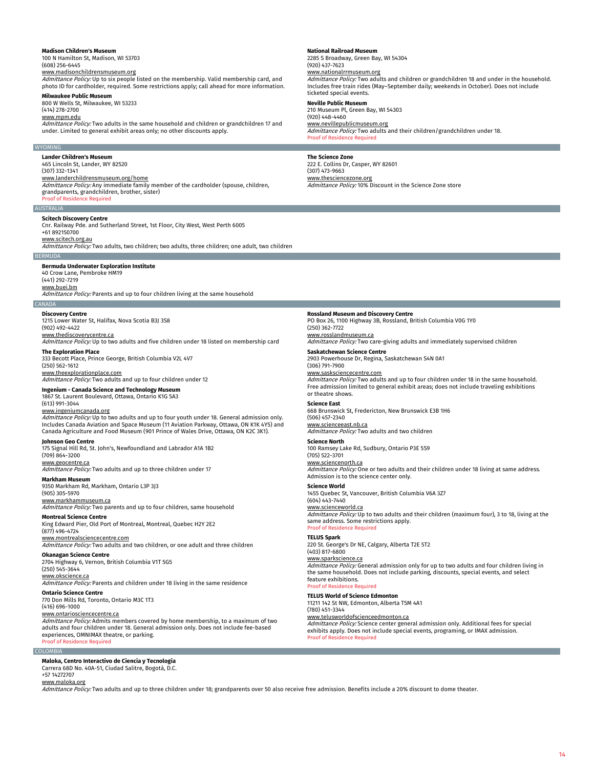#### **Madison Children's Museum**

100 N Hamilton St, Madison, WI 53703 (608) 256-6445

www.madisonchildrensmuseum.org

Admittance Policy: Up to six people listed on the membership. Valid membership card, and photo ID for cardholder, required. Some restrictions apply; call ahead for more information.

**Milwaukee Public Museum** 800 W Wells St, Milwaukee, WI 53233

## (414) 278-2700 www.mpm.edu

Admittance Policy: Two adults in the same household and children or grandchildren 17 and under. Limited to general exhibit areas only; no other discounts apply.

### **WYOMING**

**Lander Children's Museum** 465 Lincoln St, Lander, WY 82520

# (307) 332-1341

<u>www.landerchildrensmuseum.org/home</u><br>*Admittance Policy:* Any immediate family member of the cardholder (spouse, children,

grandparents, grandchildren, brother, sister) Proof of Reside

AUSTRALIA

# **Scitech Discovery Centre**

Cnr. Railway Pde. and Sutherland Street, 1st Floor, City West, West Perth 6005 +61 892150700

www.scitech.org.au

Admittance Policy: Two adults, two children; two adults, three children; one adult, two children

# **Bermuda Underwater Exploration Institute**

40 Crow Lane, Pembroke HM19 (441) 292-7219

www.buei.bm

BERMUDA

Admittance Policy: Parents and up to four children living at the same household

# **CANADA**

**Discovery Centre** 1215 Lower Water St, Halifax, Nova Scotia B3J 3S8 (902) 492-4422

<u>www.thediscoverycentre.ca</u><br>*Admittance Policy:* Up to two adults and five children under 18 listed on membership card **The Exploration Place**

333 Becott Place, Prince George, British Columbia V2L 4V7

## (250) 562-1612 www.theexplorationplace.com <u>www.theexproratomplace.com</u><br>Admittance Policy: Two adults and up to four children under 12

**Ingenium - Canada Science and Technology Museum**

# 1867 St. Laurent Boulevard, Ottawa, Ontario K1G 5A3

(613) 991-3044

www.ingeniumcanada.org Admittance Policy: Up to two adults and up to four youth under 18. General admission only. Includes Canada Aviation and Space Museum (11 Aviation Parkway, Ottawa, ON K1K 4Y5) and Canada Agriculture and Food Museum (901 Prince of Wales Drive, Ottawa, ON K2C 3K1).

# **Johnson Geo Centre**

175 Signal Hill Rd, St. John's, Newfoundland and Labrador A1A 1B2 (709) 864-3200

www.geocentre.ca

Admittance Policy: Two adults and up to three children under 17

**Markham Museum**

9350 Markham Rd, Markham, Ontario L3P 3J3 (905) 305-5970

# www.markhammuseum.ca

Admittance Policy: Two parents and up to four children, same household

# **Montreal Science Centre**

King Edward Pier, Old Port of Montreal, Montreal, Quebec H2Y 2E2 (877) 496-4724 www.montrealsciencecentre.com

Admittance Policy: Two adults and two children, or one adult and three children

# **Okanagan Science Centre**

2704 Highway 6, Vernon, British Columbia V1T 5G5 (250) 545-3644

#### www.okscience.ca

Admittance Policy: Parents and children under 18 living in the same residence **Ontario Science Centre**

770 Don Mills Rd, Toronto, Ontario M3C 1T3

(416) 696-1000

# www.ontariosciencecentre.ca

Admittance Policy: Admits members covered by home membership, to a maximum of two adults and four children under 18. General admission only. Does not include fee-based experiences, OMNIMAX theatre, or parking. Proof of Residence Required

# COLOMBIA

**Maloka, Centro Interactivo de Ciencia y Tecnologia** Carrera 68D No. 40A-51, Ciudad Salitre, Bogotá, D.C.

+57 14272707

# www.maloka.org

Admittance Policy: Two adults and up to three children under 18; grandparents over 50 also receive free admission. Benefits include a 20% discount to dome theater.

# **National Railroad Museum**

2285 S Broadway, Green Bay, WI 54304 (920) 437-7623 www.nationalrrmuseum.org

Admittance Policy: Two adults and children or grandchildren 18 and under in the household. Includes free train rides (May–September daily; weekends in October). Does not include ticketed special events. **Neville Public Museum**

# 210 Museum Pl, Green Bay, WI 54303 (920) 448-4460 www.nevillepublicmuseum.org

Admittance Policy: Two adults and their children/grandchildren under 18. Proof of Residence Required

# **The Science Zone**

222 E. Collins Dr, Casper, WY 82601 (307) 473-9663 <u>www.thesciencezone.org</u><br>*Admittance Policy:* 10% Discount in the Science Zone store

**Rossland Museum and Discovery Centre**

PO Box 26, 1100 Highway 3B, Rossland, British Columbia V0G 1Y0 (250) 362-7722

# www.rosslandmuseum.ca

Admittance Policy: Two care-giving adults and immediately supervised children

# **Saskatchewan Science Centre**

2903 Powerhouse Dr, Regina, Saskatchewan S4N 0A1 (306) 791-7900

<u>www.sasksciencecentre.com</u><br>*Admittance Policy:* Two adults and up to four children under 18 in the same household. Free admission limited to general exhibit areas; does not include traveling exhibitions or theatre shows.

## **Science East**

668 Brunswick St, Fredericton, New Brunswick E3B 1H6 (506) 457-2340

## www.scienceeast.nb.ca

Admittance Policy: Two adults and two children **Science North**

100 Ramsey Lake Rd, Sudbury, Ontario P3E 5S9 (705) 522-3701

# www.sciencenorth.ca

Admittance Policy: One or two adults and their children under 18 living at same address.

1455 Quebec St, Vancouver, British Columbia V6A 3Z7

#### www.scienceworld.

Admittance Policy: Up to two adults and their children (maximum four), 3 to 18, living at the same address. Some restrictions apply. **Proof of Residence Required** 

# **TELUS Spark**

220 St. George's Dr NE, Calgary, Alberta T2E 5T2 (403) 817-6800 www.sparkscienc *Admittance Policy:* General admission only for up to two adults and four children living in<br>the same household. Does not include parking, discounts, special events, and select

# feature exhibitions.

Proof of Residence Requ **TELUS World of Science Edmonton**

# 11211 142 St NW, Edmonton, Alberta T5M 4A1

(780) 451-3344

# www.telusworldofscienceedmonton.ca

*Admittance Policy:* Science center general admission only. Additional fees for special<br>exhibits apply. Does not include special events, programing, or IMAX admission. Proof of Residence Required

# Admission is to the science center only. **Science World** (604) 443-7440